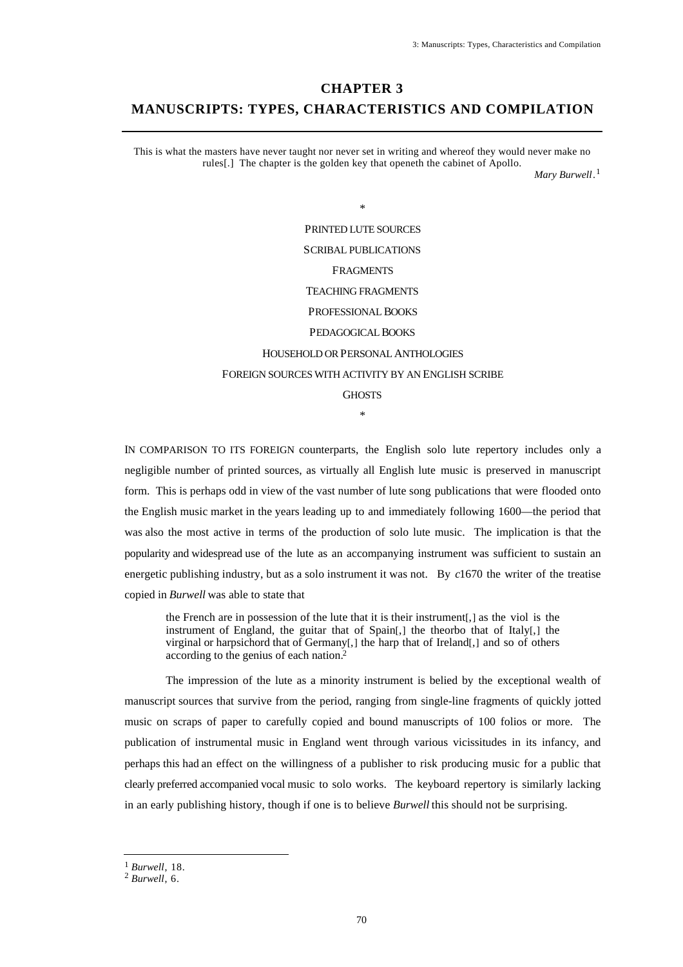# **CHAPTER 3**

# **MANUSCRIPTS: TYPES, CHARACTERISTICS AND COMPILATION**

This is what the masters have never taught nor never set in writing and whereof they would never make no rules[.] The chapter is the golden key that openeth the cabinet of Apollo.

*Mary Burwell*. 1

\* PRINTED LUTE SOURCES SCRIBAL PUBLICATIONS FRAGMENTS TEACHING FRAGMENTS PROFESSIONAL BOOKS PEDAGOGICAL BOOKS HOUSEHOLD OR PERSONAL ANTHOLOGIES FOREIGN SOURCES WITH ACTIVITY BY AN ENGLISH SCRIBE **GHOSTS** 

IN COMPARISON TO ITS FOREIGN counterparts, the English solo lute repertory includes only a negligible number of printed sources, as virtually all English lute music is preserved in manuscript form. This is perhaps odd in view of the vast number of lute song publications that were flooded onto the English music market in the years leading up to and immediately following 1600—the period that was also the most active in terms of the production of solo lute music. The implication is that the popularity and widespread use of the lute as an accompanying instrument was sufficient to sustain an energetic publishing industry, but as a solo instrument it was not. By *c*1670 the writer of the treatise copied in *Burwell* was able to state that

\*

the French are in possession of the lute that it is their instrument[,] as the viol is the instrument of England, the guitar that of Spain[,] the theorbo that of Italy[,] the virginal or harpsichord that of Germany[,] the harp that of Ireland[,] and so of others according to the genius of each nation.<sup>2</sup>

The impression of the lute as a minority instrument is belied by the exceptional wealth of manuscript sources that survive from the period, ranging from single-line fragments of quickly jotted music on scraps of paper to carefully copied and bound manuscripts of 100 folios or more. The publication of instrumental music in England went through various vicissitudes in its infancy, and perhaps this had an effect on the willingness of a publisher to risk producing music for a public that clearly preferred accompanied vocal music to solo works. The keyboard repertory is similarly lacking in an early publishing history, though if one is to believe *Burwell* this should not be surprising.

<sup>1</sup> *Burwell*, 18.

<sup>2</sup> *Burwell*, 6.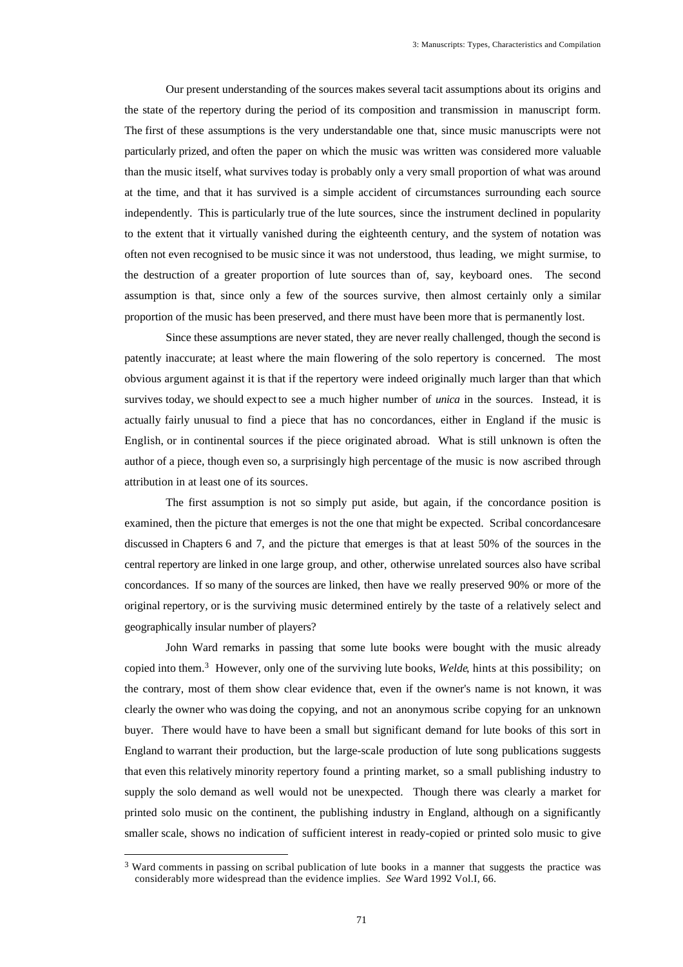Our present understanding of the sources makes several tacit assumptions about its origins and the state of the repertory during the period of its composition and transmission in manuscript form. The first of these assumptions is the very understandable one that, since music manuscripts were not particularly prized, and often the paper on which the music was written was considered more valuable than the music itself, what survives today is probably only a very small proportion of what was around at the time, and that it has survived is a simple accident of circumstances surrounding each source independently. This is particularly true of the lute sources, since the instrument declined in popularity to the extent that it virtually vanished during the eighteenth century, and the system of notation was often not even recognised to be music since it was not understood, thus leading, we might surmise, to the destruction of a greater proportion of lute sources than of, say, keyboard ones. The second assumption is that, since only a few of the sources survive, then almost certainly only a similar proportion of the music has been preserved, and there must have been more that is permanently lost.

Since these assumptions are never stated, they are never really challenged, though the second is patently inaccurate; at least where the main flowering of the solo repertory is concerned. The most obvious argument against it is that if the repertory were indeed originally much larger than that which survives today, we should expect to see a much higher number of *unica* in the sources. Instead, it is actually fairly unusual to find a piece that has no concordances, either in England if the music is English, or in continental sources if the piece originated abroad. What is still unknown is often the author of a piece, though even so, a surprisingly high percentage of the music is now ascribed through attribution in at least one of its sources.

The first assumption is not so simply put aside, but again, if the concordance position is examined, then the picture that emerges is not the one that might be expected. Scribal concordances are discussed in Chapters 6 and 7, and the picture that emerges is that at least 50% of the sources in the central repertory are linked in one large group, and other, otherwise unrelated sources also have scribal concordances. If so many of the sources are linked, then have we really preserved 90% or more of the original repertory, or is the surviving music determined entirely by the taste of a relatively select and geographically insular number of players?

John Ward remarks in passing that some lute books were bought with the music already copied into them.<sup>3</sup> However, only one of the surviving lute books, *Welde*, hints at this possibility; on the contrary, most of them show clear evidence that, even if the owner's name is not known, it was clearly the owner who was doing the copying, and not an anonymous scribe copying for an unknown buyer. There would have to have been a small but significant demand for lute books of this sort in England to warrant their production, but the large-scale production of lute song publications suggests that even this relatively minority repertory found a printing market, so a small publishing industry to supply the solo demand as well would not be unexpected. Though there was clearly a market for printed solo music on the continent, the publishing industry in England, although on a significantly smaller scale, shows no indication of sufficient interest in ready-copied or printed solo music to give

<sup>&</sup>lt;sup>3</sup> Ward comments in passing on scribal publication of lute books in a manner that suggests the practice was considerably more widespread than the evidence implies. *See* Ward 1992 Vol.I, 66.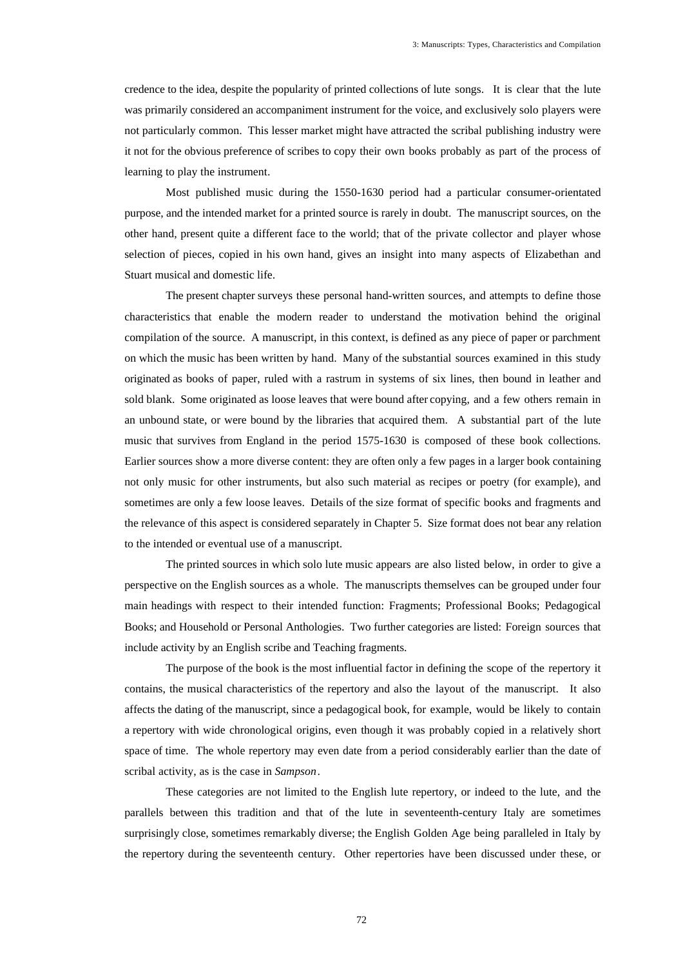credence to the idea, despite the popularity of printed collections of lute songs. It is clear that the lute was primarily considered an accompaniment instrument for the voice, and exclusively solo players were not particularly common. This lesser market might have attracted the scribal publishing industry were it not for the obvious preference of scribes to copy their own books probably as part of the process of learning to play the instrument.

Most published music during the 1550-1630 period had a particular consumer-orientated purpose, and the intended market for a printed source is rarely in doubt. The manuscript sources, on the other hand, present quite a different face to the world; that of the private collector and player whose selection of pieces, copied in his own hand, gives an insight into many aspects of Elizabethan and Stuart musical and domestic life.

The present chapter surveys these personal hand-written sources, and attempts to define those characteristics that enable the modern reader to understand the motivation behind the original compilation of the source. A manuscript, in this context, is defined as any piece of paper or parchment on which the music has been written by hand. Many of the substantial sources examined in this study originated as books of paper, ruled with a rastrum in systems of six lines, then bound in leather and sold blank. Some originated as loose leaves that were bound after copying, and a few others remain in an unbound state, or were bound by the libraries that acquired them. A substantial part of the lute music that survives from England in the period 1575-1630 is composed of these book collections. Earlier sources show a more diverse content: they are often only a few pages in a larger book containing not only music for other instruments, but also such material as recipes or poetry (for example), and sometimes are only a few loose leaves. Details of the size format of specific books and fragments and the relevance of this aspect is considered separately in Chapter 5. Size format does not bear any relation to the intended or eventual use of a manuscript.

The printed sources in which solo lute music appears are also listed below, in order to give a perspective on the English sources as a whole. The manuscripts themselves can be grouped under four main headings with respect to their intended function: Fragments; Professional Books; Pedagogical Books; and Household or Personal Anthologies. Two further categories are listed: Foreign sources that include activity by an English scribe and Teaching fragments.

The purpose of the book is the most influential factor in defining the scope of the repertory it contains, the musical characteristics of the repertory and also the layout of the manuscript. It also affects the dating of the manuscript, since a pedagogical book, for example, would be likely to contain a repertory with wide chronological origins, even though it was probably copied in a relatively short space of time. The whole repertory may even date from a period considerably earlier than the date of scribal activity, as is the case in *Sampson*.

These categories are not limited to the English lute repertory, or indeed to the lute, and the parallels between this tradition and that of the lute in seventeenth-century Italy are sometimes surprisingly close, sometimes remarkably diverse; the English Golden Age being paralleled in Italy by the repertory during the seventeenth century. Other repertories have been discussed under these, or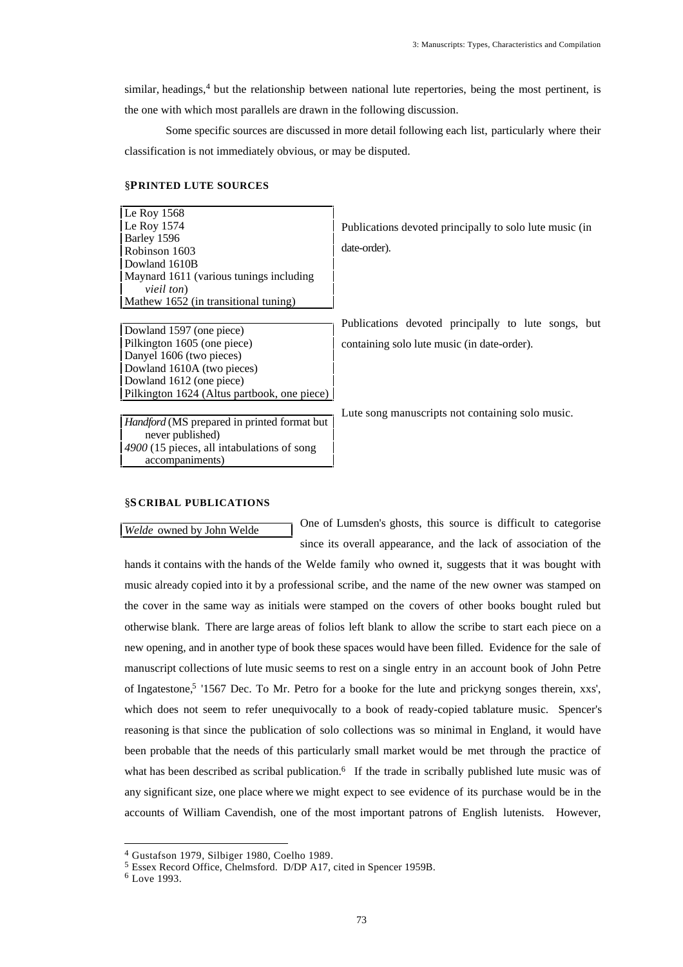similar, headings,<sup>4</sup> but the relationship between national lute repertories, being the most pertinent, is the one with which most parallels are drawn in the following discussion.

Some specific sources are discussed in more detail following each list, particularly where their classification is not immediately obvious, or may be disputed.

## §**PRINTED LUTE SOURCES**

Le Roy 1568 Le Roy 1574 Barley 1596 Robinson 1603 Dowland 1610B Maynard 1611 (various tunings including *vieil ton*) Mathew 1652 (in transitional tuning)

Pilkington 1605 (one piece) Danyel 1606 (two pieces) Dowland 1610A (two pieces) Dowland 1612 (one piece) Pilkington 1624 (Altus partbook, one piece) Publications devoted principally to solo lute music (in date-order).

Publications devoted principally to lute songs, but Dowland 1597 (one piece) containing solo lute music (in date-order).

Lute song manuscripts not containing solo music.

*Handford* (MS prepared in printed format but never published) *4900* (15 pieces, all intabulations of song accompaniments)

# §**S CRIBAL PUBLICATIONS**

*Welde* owned by John Welde **One of Lumsden's ghosts**, this source is difficult to categorise since its overall appearance, and the lack of association of the

hands it contains with the hands of the Welde family who owned it, suggests that it was bought with music already copied into it by a professional scribe, and the name of the new owner was stamped on the cover in the same way as initials were stamped on the covers of other books bought ruled but otherwise blank. There are large areas of folios left blank to allow the scribe to start each piece on a new opening, and in another type of book these spaces would have been filled. Evidence for the sale of manuscript collections of lute music seems to rest on a single entry in an account book of John Petre of Ingatestone,<sup>5</sup> '1567 Dec. To Mr. Petro for a booke for the lute and prickyng songes therein, xxs', which does not seem to refer unequivocally to a book of ready-copied tablature music. Spencer's reasoning is that since the publication of solo collections was so minimal in England, it would have been probable that the needs of this particularly small market would be met through the practice of what has been described as scribal publication.<sup>6</sup> If the trade in scribally published lute music was of any significant size, one place where we might expect to see evidence of its purchase would be in the accounts of William Cavendish, one of the most important patrons of English lutenists. However,

<sup>4</sup> Gustafson 1979, Silbiger 1980, Coelho 1989.

<sup>5</sup> Essex Record Office, Chelmsford. D/DP A17, cited in Spencer 1959B.

<sup>6</sup> Love 1993.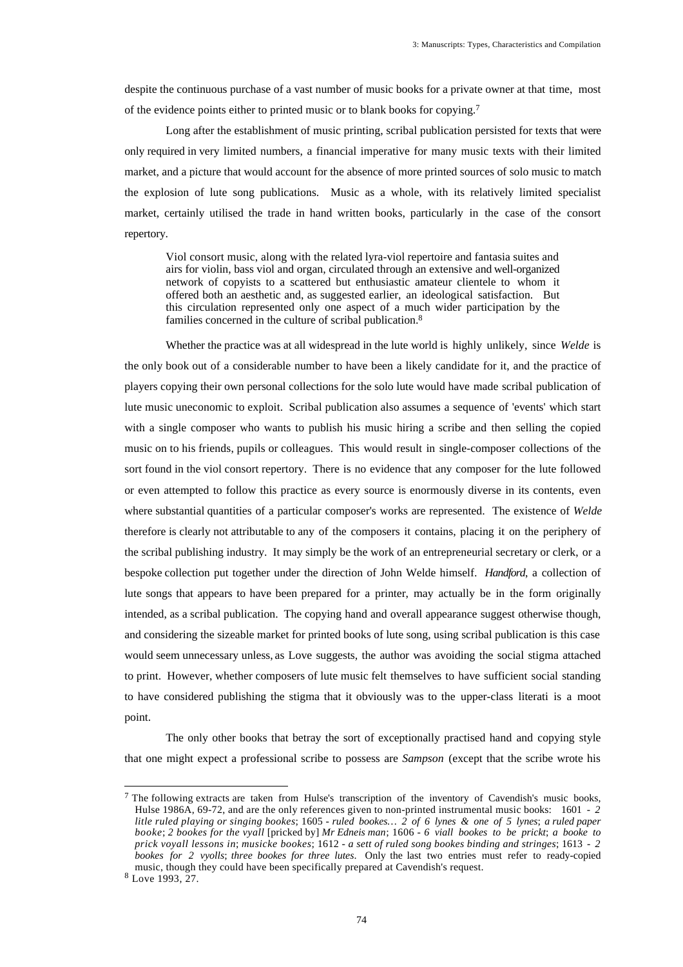despite the continuous purchase of a vast number of music books for a private owner at that time, most of the evidence points either to printed music or to blank books for copying.<sup>7</sup>

Long after the establishment of music printing, scribal publication persisted for texts that were only required in very limited numbers, a financial imperative for many music texts with their limited market, and a picture that would account for the absence of more printed sources of solo music to match the explosion of lute song publications. Music as a whole, with its relatively limited specialist market, certainly utilised the trade in hand written books, particularly in the case of the consort repertory.

Viol consort music, along with the related lyra-viol repertoire and fantasia suites and airs for violin, bass viol and organ, circulated through an extensive and well-organized network of copyists to a scattered but enthusiastic amateur clientele to whom it offered both an aesthetic and, as suggested earlier, an ideological satisfaction. But this circulation represented only one aspect of a much wider participation by the families concerned in the culture of scribal publication.<sup>8</sup>

Whether the practice was at all widespread in the lute world is highly unlikely, since *Welde* is the only book out of a considerable number to have been a likely candidate for it, and the practice of players copying their own personal collections for the solo lute would have made scribal publication of lute music uneconomic to exploit. Scribal publication also assumes a sequence of 'events' which start with a single composer who wants to publish his music hiring a scribe and then selling the copied music on to his friends, pupils or colleagues. This would result in single-composer collections of the sort found in the viol consort repertory. There is no evidence that any composer for the lute followed or even attempted to follow this practice as every source is enormously diverse in its contents, even where substantial quantities of a particular composer's works are represented. The existence of *Welde* therefore is clearly not attributable to any of the composers it contains, placing it on the periphery of the scribal publishing industry. It may simply be the work of an entrepreneurial secretary or clerk, or a bespoke collection put together under the direction of John Welde himself. *Handford*, a collection of lute songs that appears to have been prepared for a printer, may actually be in the form originally intended, as a scribal publication. The copying hand and overall appearance suggest otherwise though, and considering the sizeable market for printed books of lute song, using scribal publication is this case would seem unnecessary unless, as Love suggests, the author was avoiding the social stigma attached to print. However, whether composers of lute music felt themselves to have sufficient social standing to have considered publishing the stigma that it obviously was to the upper-class literati is a moot point.

The only other books that betray the sort of exceptionally practised hand and copying style that one might expect a professional scribe to possess are *Sampson* (except that the scribe wrote his

<sup>&</sup>lt;sup>7</sup> The following extracts are taken from Hulse's transcription of the inventory of Cavendish's music books, Hulse 1986A, 69-72, and are the only references given to non-printed instrumental music books: 1601 - *2 litle ruled playing or singing bookes*; 1605 - *ruled bookes… 2 of 6 lynes & one of 5 lynes*; *a ruled paper booke*; *2 bookes for the vyall* [pricked by] *Mr Edneis man*; 1606 - *6 viall bookes to be prickt*; *a booke to prick voyall lessons in*; *musicke bookes*; 1612 - *a sett of ruled song bookes binding and stringes*; 1613 - *2 bookes for 2 vyolls*; *three bookes for three lutes*. Only the last two entries must refer to ready-copied music, though they could have been specifically prepared at Cavendish's request.

<sup>8</sup> Love 1993, 27.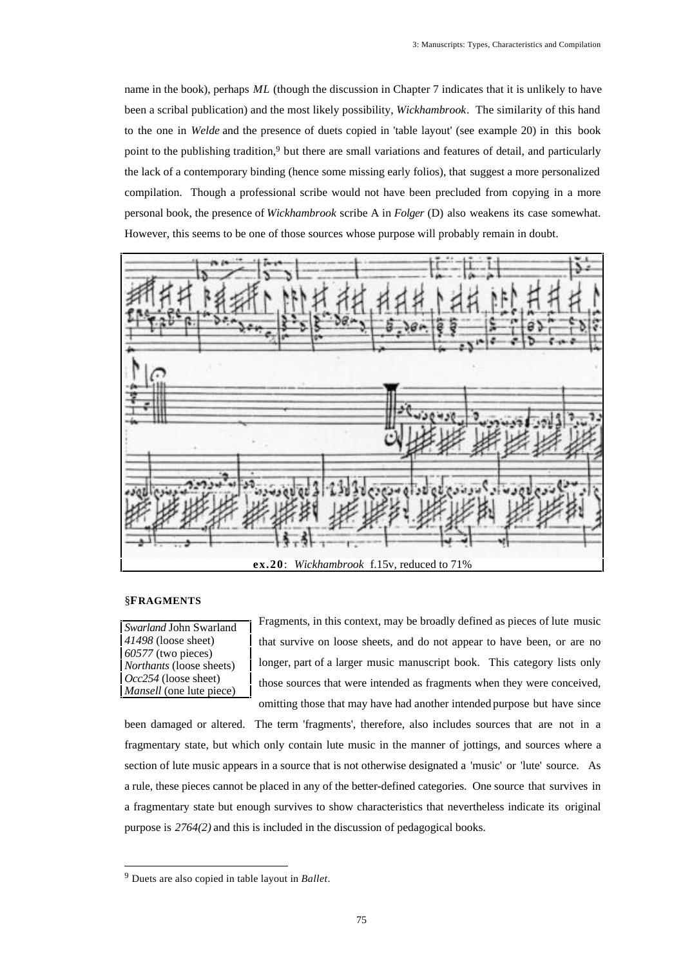name in the book), perhaps *ML* (though the discussion in Chapter 7 indicates that it is unlikely to have been a scribal publication) and the most likely possibility, *Wickhambrook*. The similarity of this hand to the one in *Welde* and the presence of duets copied in 'table layout' (see example 20) in this book point to the publishing tradition,<sup>9</sup> but there are small variations and features of detail, and particularly the lack of a contemporary binding (hence some missing early folios), that suggest a more personalized compilation. Though a professional scribe would not have been precluded from copying in a more personal book, the presence of *Wickhambrook* scribe A in *Folger* (D) also weakens its case somewhat. However, this seems to be one of those sources whose purpose will probably remain in doubt.



# §**FRAGMENTS**

*Swarland* John Swarland *41498* (loose sheet) *60577* (two pieces) *Northants* (loose sheets) *Occ254* (loose sheet) *Mansell* (one lute piece)

Fragments, in this context, may be broadly defined as pieces of lute music that survive on loose sheets, and do not appear to have been, or are no longer, part of a larger music manuscript book. This category lists only those sources that were intended as fragments when they were conceived, omitting those that may have had another intended purpose but have since

been damaged or altered. The term 'fragments', therefore, also includes sources that are not in a fragmentary state, but which only contain lute music in the manner of jottings, and sources where a section of lute music appears in a source that is not otherwise designated a 'music' or 'lute' source. As a rule, these pieces cannot be placed in any of the better-defined categories. One source that survives in a fragmentary state but enough survives to show characteristics that nevertheless indicate its original purpose is *2764(2)* and this is included in the discussion of pedagogical books.

<sup>9</sup> Duets are also copied in table layout in *Ballet*.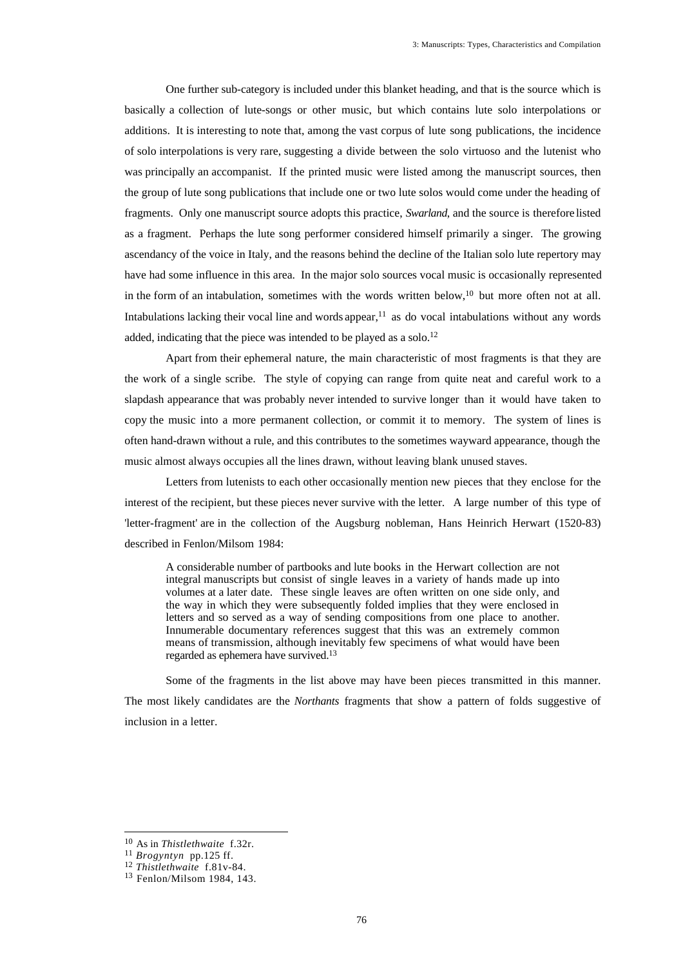One further sub-category is included under this blanket heading, and that is the source which is basically a collection of lute-songs or other music, but which contains lute solo interpolations or additions. It is interesting to note that, among the vast corpus of lute song publications, the incidence of solo interpolations is very rare, suggesting a divide between the solo virtuoso and the lutenist who was principally an accompanist. If the printed music were listed among the manuscript sources, then the group of lute song publications that include one or two lute solos would come under the heading of fragments. Only one manuscript source adopts this practice, *Swarland*, and the source is therefore listed as a fragment. Perhaps the lute song performer considered himself primarily a singer. The growing ascendancy of the voice in Italy, and the reasons behind the decline of the Italian solo lute repertory may have had some influence in this area. In the major solo sources vocal music is occasionally represented in the form of an intabulation, sometimes with the words written below,<sup>10</sup> but more often not at all. Intabulations lacking their vocal line and words appear, $<sup>11</sup>$  as do vocal intabulations without any words</sup> added, indicating that the piece was intended to be played as a solo.<sup>12</sup>

Apart from their ephemeral nature, the main characteristic of most fragments is that they are the work of a single scribe. The style of copying can range from quite neat and careful work to a slapdash appearance that was probably never intended to survive longer than it would have taken to copy the music into a more permanent collection, or commit it to memory. The system of lines is often hand-drawn without a rule, and this contributes to the sometimes wayward appearance, though the music almost always occupies all the lines drawn, without leaving blank unused staves.

Letters from lutenists to each other occasionally mention new pieces that they enclose for the interest of the recipient, but these pieces never survive with the letter. A large number of this type of 'letter-fragment' are in the collection of the Augsburg nobleman, Hans Heinrich Herwart (1520-83) described in Fenlon/Milsom 1984:

A considerable number of partbooks and lute books in the Herwart collection are not integral manuscripts but consist of single leaves in a variety of hands made up into volumes at a later date. These single leaves are often written on one side only, and the way in which they were subsequently folded implies that they were enclosed in letters and so served as a way of sending compositions from one place to another. Innumerable documentary references suggest that this was an extremely common means of transmission, although inevitably few specimens of what would have been regarded as ephemera have survived.<sup>13</sup>

Some of the fragments in the list above may have been pieces transmitted in this manner. The most likely candidates are the *Northants* fragments that show a pattern of folds suggestive of inclusion in a letter.

<sup>10</sup> As in *Thistlethwaite* f.32r.

<sup>11</sup> *Brogyntyn* pp.125 ff.

<sup>12</sup> *Thistlethwaite* f.81v-84.

<sup>13</sup> Fenlon/Milsom 1984, 143.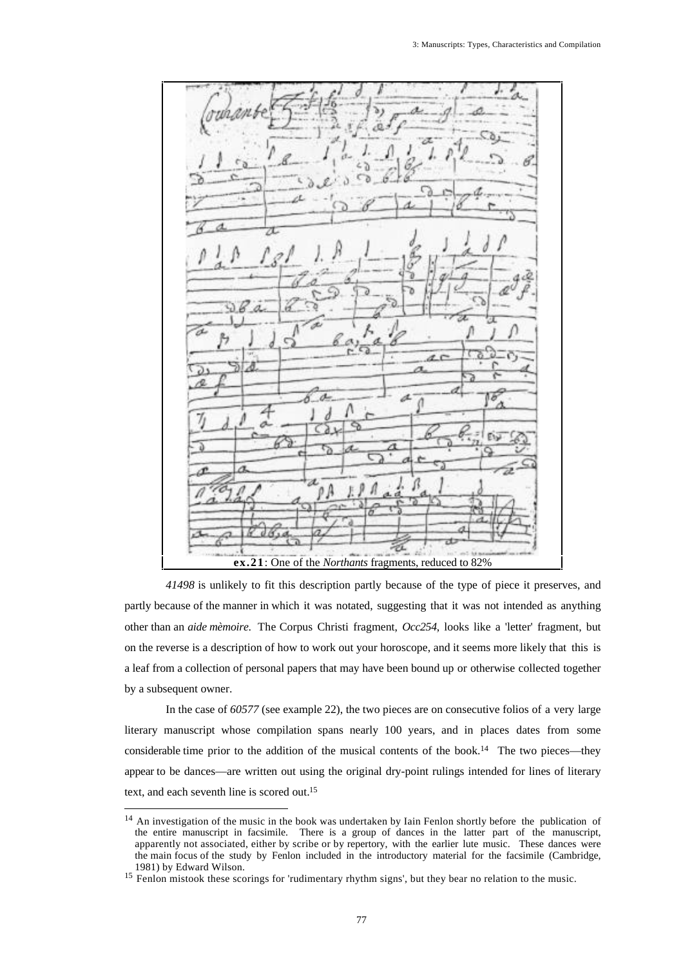a **ex.21**: One of the *Northants* fragments, reduced to 82%

*41498* is unlikely to fit this description partly because of the type of piece it preserves, and partly because of the manner in which it was notated, suggesting that it was not intended as anything other than an *aide mèmoire*. The Corpus Christi fragment, *Occ254*, looks like a 'letter' fragment, but on the reverse is a description of how to work out your horoscope, and it seems more likely that this is a leaf from a collection of personal papers that may have been bound up or otherwise collected together by a subsequent owner.

In the case of *60577* (see example 22), the two pieces are on consecutive folios of a very large literary manuscript whose compilation spans nearly 100 years, and in places dates from some considerable time prior to the addition of the musical contents of the book.<sup>14</sup> The two pieces—they appear to be dances—are written out using the original dry-point rulings intended for lines of literary text, and each seventh line is scored out.<sup>15</sup>

<sup>&</sup>lt;sup>14</sup> An investigation of the music in the book was undertaken by Iain Fenlon shortly before the publication of the entire manuscript in facsimile. There is a group of dances in the latter part of the manuscript, apparently not associated, either by scribe or by repertory, with the earlier lute music. These dances were the main focus of the study by Fenlon included in the introductory material for the facsimile (Cambridge, 1981) by Edward Wilson.

<sup>&</sup>lt;sup>15</sup> Fenlon mistook these scorings for 'rudimentary rhythm signs', but they bear no relation to the music.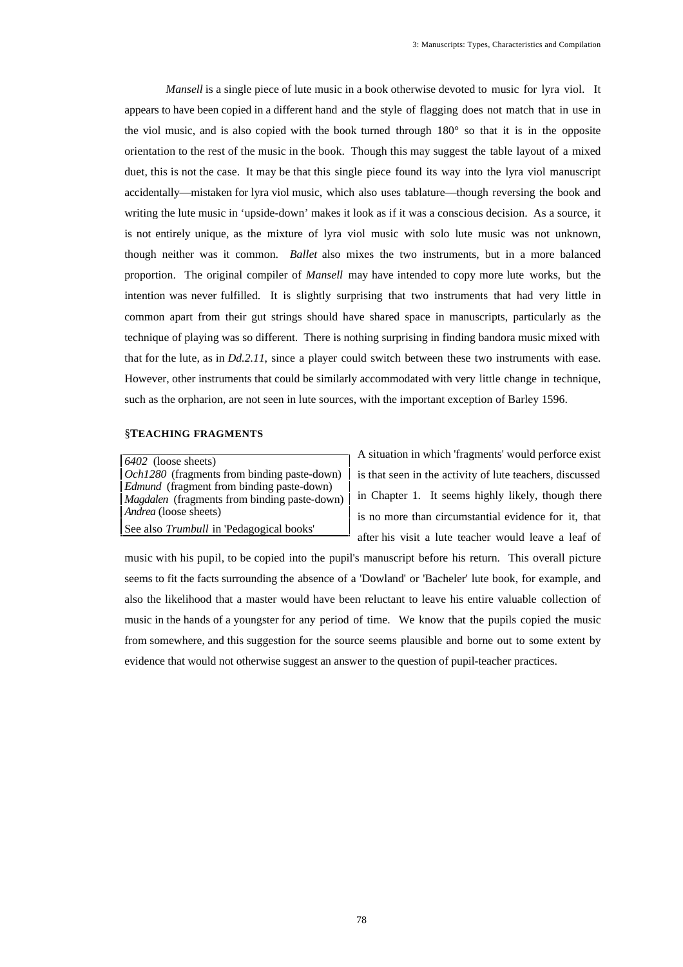*Mansell* is a single piece of lute music in a book otherwise devoted to music for lyra viol. It appears to have been copied in a different hand and the style of flagging does not match that in use in the viol music, and is also copied with the book turned through 180° so that it is in the opposite orientation to the rest of the music in the book. Though this may suggest the table layout of a mixed duet, this is not the case. It may be that this single piece found its way into the lyra viol manuscript accidentally—mistaken for lyra viol music, which also uses tablature—though reversing the book and writing the lute music in 'upside-down' makes it look as if it was a conscious decision. As a source, it is not entirely unique, as the mixture of lyra viol music with solo lute music was not unknown, though neither was it common. *Ballet* also mixes the two instruments, but in a more balanced proportion. The original compiler of *Mansell* may have intended to copy more lute works, but the intention was never fulfilled. It is slightly surprising that two instruments that had very little in common apart from their gut strings should have shared space in manuscripts, particularly as the technique of playing was so different. There is nothing surprising in finding bandora music mixed with that for the lute, as in *Dd.2.11*, since a player could switch between these two instruments with ease. However, other instruments that could be similarly accommodated with very little change in technique, such as the orpharion, are not seen in lute sources, with the important exception of Barley 1596.

### §**TEACHING FRAGMENTS**

*6402* (loose sheets) *Och1280* (fragments from binding paste-down) *Edmund* (fragment from binding paste-down) *Magdalen* (fragments from binding paste-down) *Andrea* (loose sheets) See also *Trumbull* in 'Pedagogical books'

A situation in which 'fragments' would perforce exist is that seen in the activity of lute teachers, discussed in Chapter 1. It seems highly likely, though there is no more than circumstantial evidence for it, that after his visit a lute teacher would leave a leaf of

music with his pupil, to be copied into the pupil's manuscript before his return. This overall picture seems to fit the facts surrounding the absence of a 'Dowland' or 'Bacheler' lute book, for example, and also the likelihood that a master would have been reluctant to leave his entire valuable collection of music in the hands of a youngster for any period of time. We know that the pupils copied the music from somewhere, and this suggestion for the source seems plausible and borne out to some extent by evidence that would not otherwise suggest an answer to the question of pupil-teacher practices.

78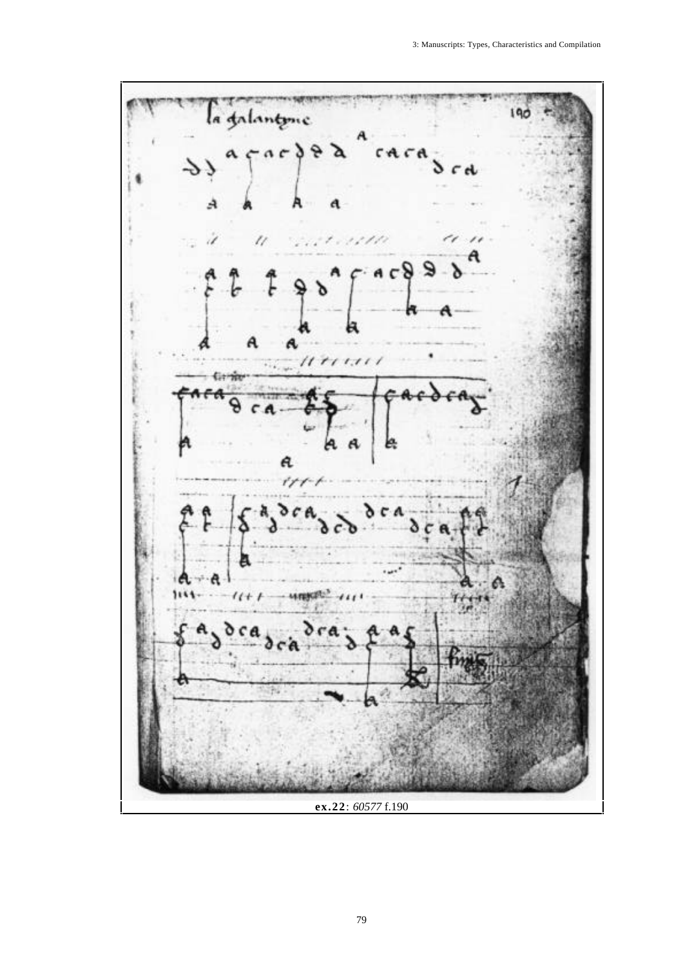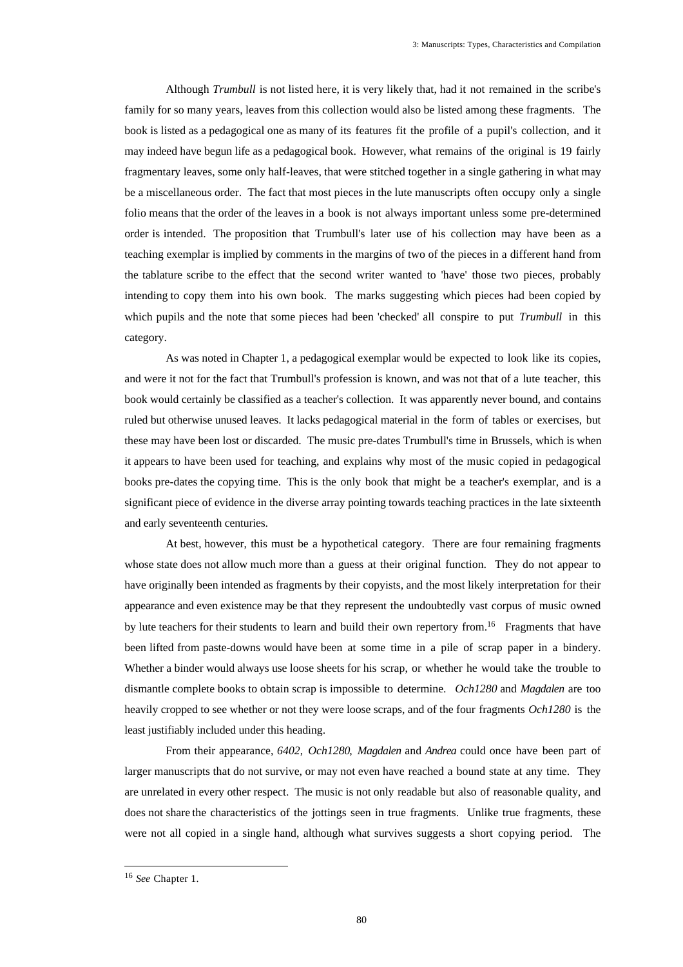Although *Trumbull* is not listed here, it is very likely that, had it not remained in the scribe's family for so many years, leaves from this collection would also be listed among these fragments. The book is listed as a pedagogical one as many of its features fit the profile of a pupil's collection, and it may indeed have begun life as a pedagogical book. However, what remains of the original is 19 fairly fragmentary leaves, some only half-leaves, that were stitched together in a single gathering in what may be a miscellaneous order. The fact that most pieces in the lute manuscripts often occupy only a single folio means that the order of the leaves in a book is not always important unless some pre-determined order is intended. The proposition that Trumbull's later use of his collection may have been as a teaching exemplar is implied by comments in the margins of two of the pieces in a different hand from the tablature scribe to the effect that the second writer wanted to 'have' those two pieces, probably intending to copy them into his own book. The marks suggesting which pieces had been copied by which pupils and the note that some pieces had been 'checked' all conspire to put *Trumbull* in this category.

As was noted in Chapter 1, a pedagogical exemplar would be expected to look like its copies, and were it not for the fact that Trumbull's profession is known, and was not that of a lute teacher, this book would certainly be classified as a teacher's collection. It was apparently never bound, and contains ruled but otherwise unused leaves. It lacks pedagogical material in the form of tables or exercises, but these may have been lost or discarded. The music pre-dates Trumbull's time in Brussels, which is when it appears to have been used for teaching, and explains why most of the music copied in pedagogical books pre-dates the copying time. This is the only book that might be a teacher's exemplar, and is a significant piece of evidence in the diverse array pointing towards teaching practices in the late sixteenth and early seventeenth centuries.

At best, however, this must be a hypothetical category. There are four remaining fragments whose state does not allow much more than a guess at their original function. They do not appear to have originally been intended as fragments by their copyists, and the most likely interpretation for their appearance and even existence may be that they represent the undoubtedly vast corpus of music owned by lute teachers for their students to learn and build their own repertory from.<sup>16</sup> Fragments that have been lifted from paste-downs would have been at some time in a pile of scrap paper in a bindery. Whether a binder would always use loose sheets for his scrap, or whether he would take the trouble to dismantle complete books to obtain scrap is impossible to determine. *Och1280* and *Magdalen* are too heavily cropped to see whether or not they were loose scraps, and of the four fragments *Och1280* is the least justifiably included under this heading.

From their appearance, *6402*, *Och1280*, *Magdalen* and *Andrea* could once have been part of larger manuscripts that do not survive, or may not even have reached a bound state at any time. They are unrelated in every other respect. The music is not only readable but also of reasonable quality, and does not share the characteristics of the jottings seen in true fragments. Unlike true fragments, these were not all copied in a single hand, although what survives suggests a short copying period. The

<sup>16</sup> *See* Chapter 1.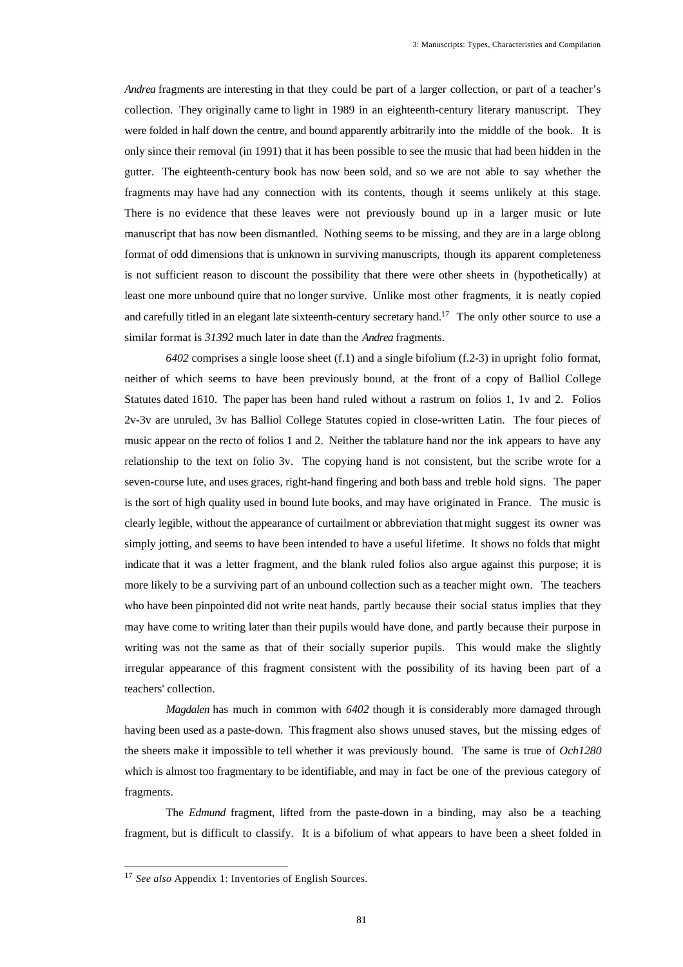*Andrea* fragments are interesting in that they could be part of a larger collection, or part of a teacher's collection. They originally came to light in 1989 in an eighteenth-century literary manuscript. They were folded in half down the centre, and bound apparently arbitrarily into the middle of the book. It is only since their removal (in 1991) that it has been possible to see the music that had been hidden in the gutter. The eighteenth-century book has now been sold, and so we are not able to say whether the fragments may have had any connection with its contents, though it seems unlikely at this stage. There is no evidence that these leaves were not previously bound up in a larger music or lute manuscript that has now been dismantled. Nothing seems to be missing, and they are in a large oblong format of odd dimensions that is unknown in surviving manuscripts, though its apparent completeness is not sufficient reason to discount the possibility that there were other sheets in (hypothetically) at least one more unbound quire that no longer survive. Unlike most other fragments, it is neatly copied and carefully titled in an elegant late sixteenth-century secretary hand.<sup>17</sup> The only other source to use a similar format is *31392* much later in date than the *Andrea* fragments.

*6402* comprises a single loose sheet (f.1) and a single bifolium (f.2-3) in upright folio format, neither of which seems to have been previously bound, at the front of a copy of Balliol College Statutes dated 1610. The paper has been hand ruled without a rastrum on folios 1, 1v and 2. Folios 2v-3v are unruled, 3v has Balliol College Statutes copied in close-written Latin. The four pieces of music appear on the recto of folios 1 and 2. Neither the tablature hand nor the ink appears to have any relationship to the text on folio 3v. The copying hand is not consistent, but the scribe wrote for a seven-course lute, and uses graces, right-hand fingering and both bass and treble hold signs. The paper is the sort of high quality used in bound lute books, and may have originated in France. The music is clearly legible, without the appearance of curtailment or abbreviation that might suggest its owner was simply jotting, and seems to have been intended to have a useful lifetime. It shows no folds that might indicate that it was a letter fragment, and the blank ruled folios also argue against this purpose; it is more likely to be a surviving part of an unbound collection such as a teacher might own. The teachers who have been pinpointed did not write neat hands, partly because their social status implies that they may have come to writing later than their pupils would have done, and partly because their purpose in writing was not the same as that of their socially superior pupils. This would make the slightly irregular appearance of this fragment consistent with the possibility of its having been part of a teachers' collection.

*Magdalen* has much in common with *6402* though it is considerably more damaged through having been used as a paste-down. This fragment also shows unused staves, but the missing edges of the sheets make it impossible to tell whether it was previously bound. The same is true of *Och1280* which is almost too fragmentary to be identifiable, and may in fact be one of the previous category of fragments.

The *Edmund* fragment, lifted from the paste-down in a binding, may also be a teaching fragment, but is difficult to classify. It is a bifolium of what appears to have been a sheet folded in

<sup>17</sup> *See also* Appendix 1: Inventories of English Sources.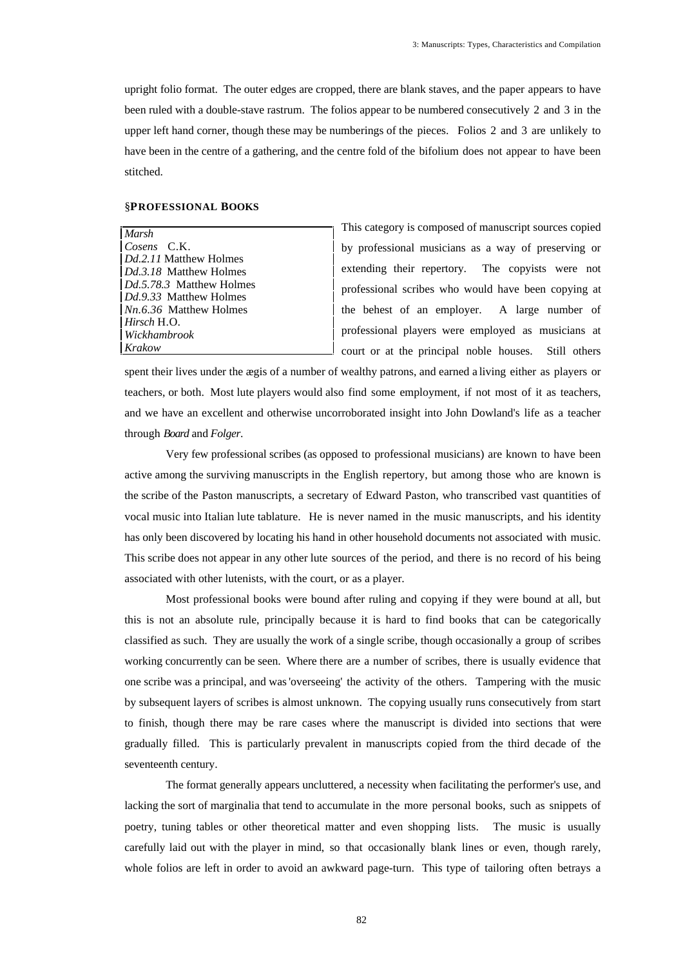upright folio format. The outer edges are cropped, there are blank staves, and the paper appears to have been ruled with a double-stave rastrum. The folios appear to be numbered consecutively 2 and 3 in the upper left hand corner, though these may be numberings of the pieces. Folios 2 and 3 are unlikely to have been in the centre of a gathering, and the centre fold of the bifolium does not appear to have been stitched.

# §**PROFESSIONAL BOOKS**

| Marsh                         |
|-------------------------------|
| Cosens C.K.                   |
| <i>Dd.2.11</i> Matthew Holmes |
| <i>Dd.3.18</i> Matthew Holmes |
| Dd.5.78.3 Matthew Holmes      |
| Dd. 9.33 Matthew Holmes       |
| $Nn.6.36$ Matthew Holmes      |
| Hirsch H.O.                   |
| Wickhambrook                  |
| Krakow                        |

This category is composed of manuscript sources copied by professional musicians as a way of preserving or extending their repertory. The copyists were not professional scribes who would have been copying at the behest of an employer. A large number of professional players were employed as musicians at court or at the principal noble houses. Still others

spent their lives under the ægis of a number of wealthy patrons, and earned a living either as players or teachers, or both. Most lute players would also find some employment, if not most of it as teachers, and we have an excellent and otherwise uncorroborated insight into John Dowland's life as a teacher through *Board* and *Folger*.

Very few professional scribes (as opposed to professional musicians) are known to have been active among the surviving manuscripts in the English repertory, but among those who are known is the scribe of the Paston manuscripts, a secretary of Edward Paston, who transcribed vast quantities of vocal music into Italian lute tablature. He is never named in the music manuscripts, and his identity has only been discovered by locating his hand in other household documents not associated with music. This scribe does not appear in any other lute sources of the period, and there is no record of his being associated with other lutenists, with the court, or as a player.

Most professional books were bound after ruling and copying if they were bound at all, but this is not an absolute rule, principally because it is hard to find books that can be categorically classified as such. They are usually the work of a single scribe, though occasionally a group of scribes working concurrently can be seen. Where there are a number of scribes, there is usually evidence that one scribe was a principal, and was 'overseeing' the activity of the others. Tampering with the music by subsequent layers of scribes is almost unknown. The copying usually runs consecutively from start to finish, though there may be rare cases where the manuscript is divided into sections that were gradually filled. This is particularly prevalent in manuscripts copied from the third decade of the seventeenth century.

The format generally appears uncluttered, a necessity when facilitating the performer's use, and lacking the sort of marginalia that tend to accumulate in the more personal books, such as snippets of poetry, tuning tables or other theoretical matter and even shopping lists. The music is usually carefully laid out with the player in mind, so that occasionally blank lines or even, though rarely, whole folios are left in order to avoid an awkward page-turn. This type of tailoring often betrays a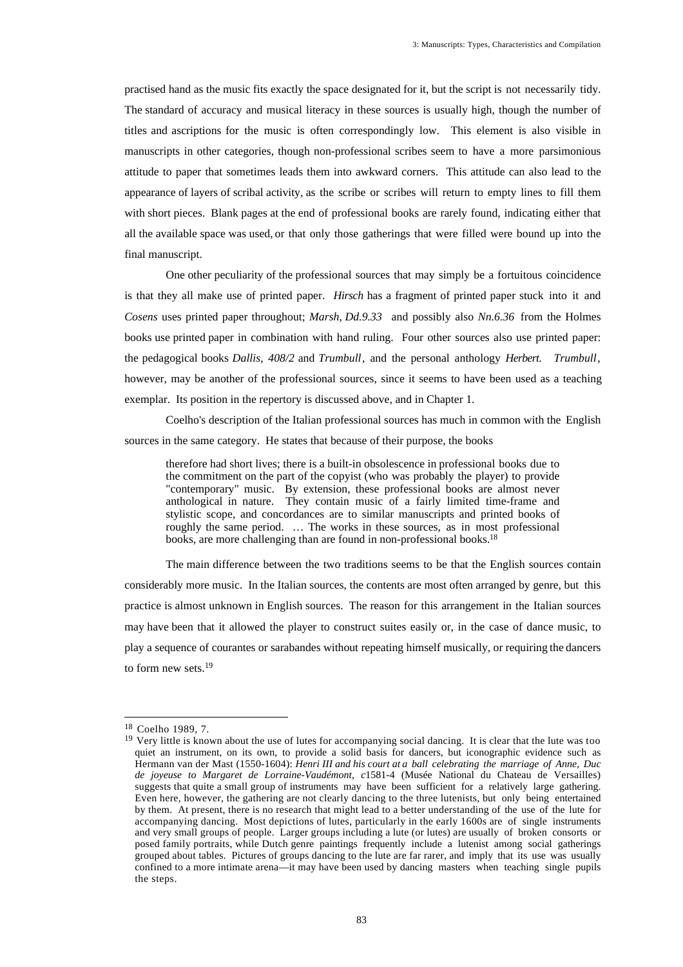practised hand as the music fits exactly the space designated for it, but the script is not necessarily tidy. The standard of accuracy and musical literacy in these sources is usually high, though the number of titles and ascriptions for the music is often correspondingly low. This element is also visible in manuscripts in other categories, though non-professional scribes seem to have a more parsimonious attitude to paper that sometimes leads them into awkward corners. This attitude can also lead to the appearance of layers of scribal activity, as the scribe or scribes will return to empty lines to fill them with short pieces. Blank pages at the end of professional books are rarely found, indicating either that all the available space was used, or that only those gatherings that were filled were bound up into the final manuscript.

One other peculiarity of the professional sources that may simply be a fortuitous coincidence is that they all make use of printed paper. *Hirsch* has a fragment of printed paper stuck into it and *Cosens* uses printed paper throughout; *Marsh, Dd.9.33* and possibly also *Nn.6.36* from the Holmes books use printed paper in combination with hand ruling. Four other sources also use printed paper: the pedagogical books *Dallis, 408/2* and *Trumbull*, and the personal anthology *Herbert*. *Trumbull*, however, may be another of the professional sources, since it seems to have been used as a teaching exemplar. Its position in the repertory is discussed above, and in Chapter 1.

Coelho's description of the Italian professional sources has much in common with the English sources in the same category. He states that because of their purpose, the books

therefore had short lives; there is a built-in obsolescence in professional books due to the commitment on the part of the copyist (who was probably the player) to provide "contemporary" music. By extension, these professional books are almost never anthological in nature. They contain music of a fairly limited time-frame and stylistic scope, and concordances are to similar manuscripts and printed books of roughly the same period. … The works in these sources, as in most professional books, are more challenging than are found in non-professional books.<sup>18</sup>

The main difference between the two traditions seems to be that the English sources contain considerably more music. In the Italian sources, the contents are most often arranged by genre, but this practice is almost unknown in English sources. The reason for this arrangement in the Italian sources may have been that it allowed the player to construct suites easily or, in the case of dance music, to play a sequence of courantes or sarabandes without repeating himself musically, or requiring the dancers to form new sets.<sup>19</sup>

<sup>18</sup> Coelho 1989, 7.

<sup>&</sup>lt;sup>19</sup> Very little is known about the use of lutes for accompanying social dancing. It is clear that the lute was too quiet an instrument, on its own, to provide a solid basis for dancers, but iconographic evidence such as Hermann van der Mast (1550-1604): *Henri III and his court at a ball celebrating the marriage of Anne, Duc de joyeuse to Margaret de Lorraine-Vaudémont*, *c*1581-4 (Musée National du Chateau de Versailles) suggests that quite a small group of instruments may have been sufficient for a relatively large gathering. Even here, however, the gathering are not clearly dancing to the three lutenists, but only being entertained by them. At present, there is no research that might lead to a better understanding of the use of the lute for accompanying dancing. Most depictions of lutes, particularly in the early 1600s are of single instruments and very small groups of people. Larger groups including a lute (or lutes) are usually of broken consorts or posed family portraits, while Dutch genre paintings frequently include a lutenist among social gatherings grouped about tables. Pictures of groups dancing to the lute are far rarer, and imply that its use was usually confined to a more intimate arena—it may have been used by dancing masters when teaching single pupils the steps.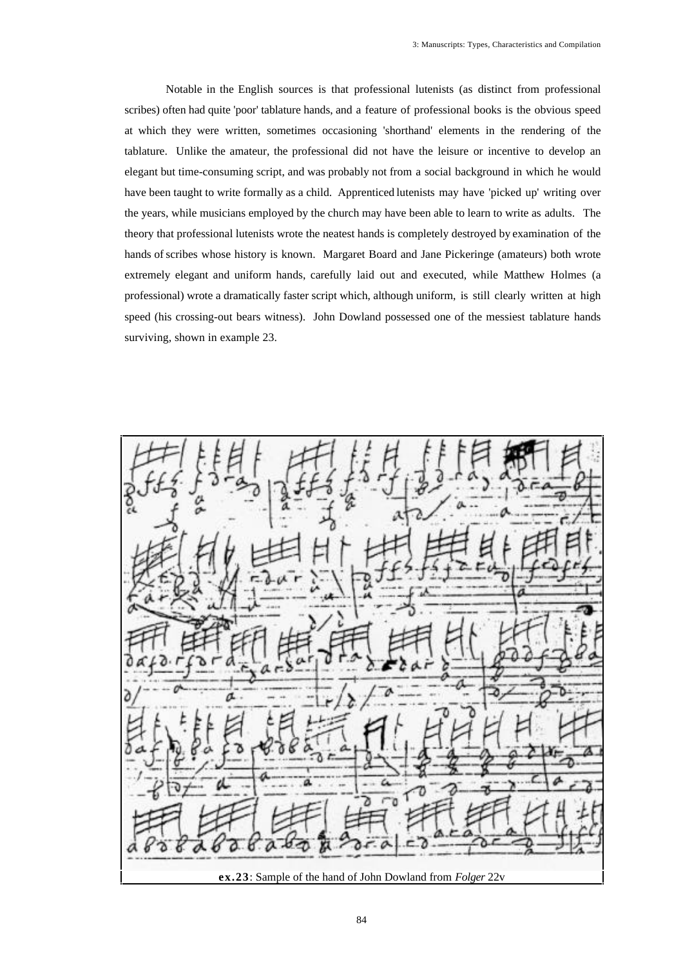Notable in the English sources is that professional lutenists (as distinct from professional scribes) often had quite 'poor' tablature hands, and a feature of professional books is the obvious speed at which they were written, sometimes occasioning 'shorthand' elements in the rendering of the tablature. Unlike the amateur, the professional did not have the leisure or incentive to develop an elegant but time-consuming script, and was probably not from a social background in which he would have been taught to write formally as a child. Apprenticed lutenists may have 'picked up' writing over the years, while musicians employed by the church may have been able to learn to write as adults. The theory that professional lutenists wrote the neatest hands is completely destroyed by examination of the hands of scribes whose history is known. Margaret Board and Jane Pickeringe (amateurs) both wrote extremely elegant and uniform hands, carefully laid out and executed, while Matthew Holmes (a professional) wrote a dramatically faster script which, although uniform, is still clearly written at high speed (his crossing-out bears witness). John Dowland possessed one of the messiest tablature hands surviving, shown in example 23.

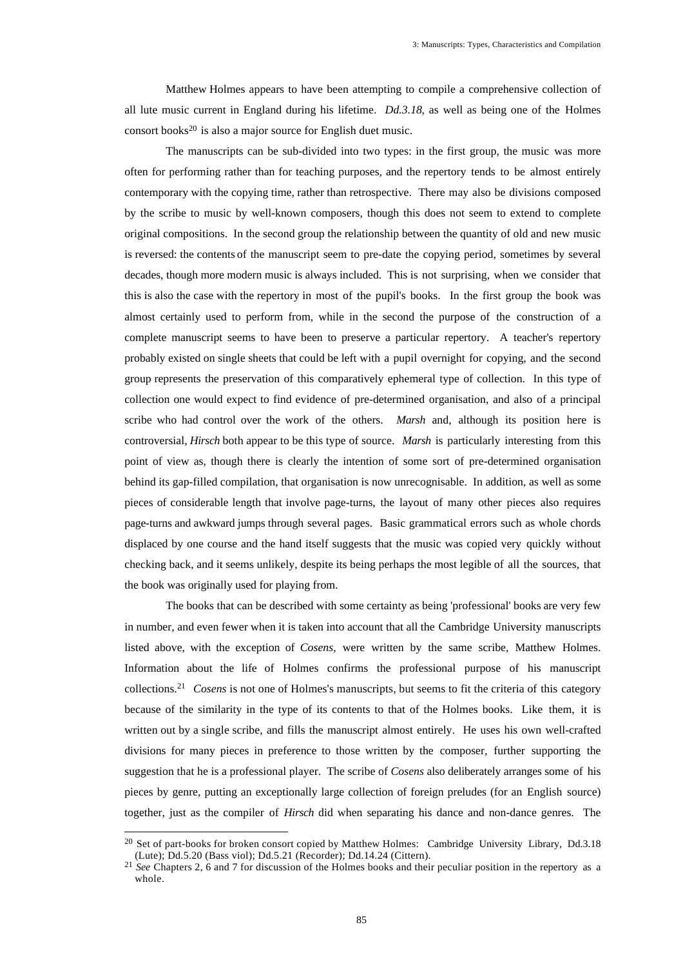Matthew Holmes appears to have been attempting to compile a comprehensive collection of all lute music current in England during his lifetime. *Dd.3.18*, as well as being one of the Holmes consort books $20$  is also a major source for English duet music.

The manuscripts can be sub-divided into two types: in the first group, the music was more often for performing rather than for teaching purposes, and the repertory tends to be almost entirely contemporary with the copying time, rather than retrospective. There may also be divisions composed by the scribe to music by well-known composers, though this does not seem to extend to complete original compositions. In the second group the relationship between the quantity of old and new music is reversed: the contents of the manuscript seem to pre-date the copying period, sometimes by several decades, though more modern music is always included. This is not surprising, when we consider that this is also the case with the repertory in most of the pupil's books. In the first group the book was almost certainly used to perform from, while in the second the purpose of the construction of a complete manuscript seems to have been to preserve a particular repertory. A teacher's repertory probably existed on single sheets that could be left with a pupil overnight for copying, and the second group represents the preservation of this comparatively ephemeral type of collection. In this type of collection one would expect to find evidence of pre-determined organisation, and also of a principal scribe who had control over the work of the others. *Marsh* and, although its position here is controversial, *Hirsch* both appear to be this type of source. *Marsh* is particularly interesting from this point of view as, though there is clearly the intention of some sort of pre-determined organisation behind its gap-filled compilation, that organisation is now unrecognisable. In addition, as well as some pieces of considerable length that involve page-turns, the layout of many other pieces also requires page-turns and awkward jumps through several pages. Basic grammatical errors such as whole chords displaced by one course and the hand itself suggests that the music was copied very quickly without checking back, and it seems unlikely, despite its being perhaps the most legible of all the sources, that the book was originally used for playing from.

The books that can be described with some certainty as being 'professional' books are very few in number, and even fewer when it is taken into account that all the Cambridge University manuscripts listed above, with the exception of *Cosens,* were written by the same scribe, Matthew Holmes. Information about the life of Holmes confirms the professional purpose of his manuscript collections.<sup>21</sup> *Cosens* is not one of Holmes's manuscripts, but seems to fit the criteria of this category because of the similarity in the type of its contents to that of the Holmes books. Like them, it is written out by a single scribe, and fills the manuscript almost entirely. He uses his own well-crafted divisions for many pieces in preference to those written by the composer, further supporting the suggestion that he is a professional player. The scribe of *Cosens* also deliberately arranges some of his pieces by genre, putting an exceptionally large collection of foreign preludes (for an English source) together, just as the compiler of *Hirsch* did when separating his dance and non-dance genres. The

<sup>&</sup>lt;sup>20</sup> Set of part-books for broken consort copied by Matthew Holmes: Cambridge University Library, Dd.3.18 (Lute); Dd.5.20 (Bass viol); Dd.5.21 (Recorder); Dd.14.24 (Cittern).

<sup>&</sup>lt;sup>21</sup> *See* Chapters 2, 6 and 7 for discussion of the Holmes books and their peculiar position in the repertory as a whole.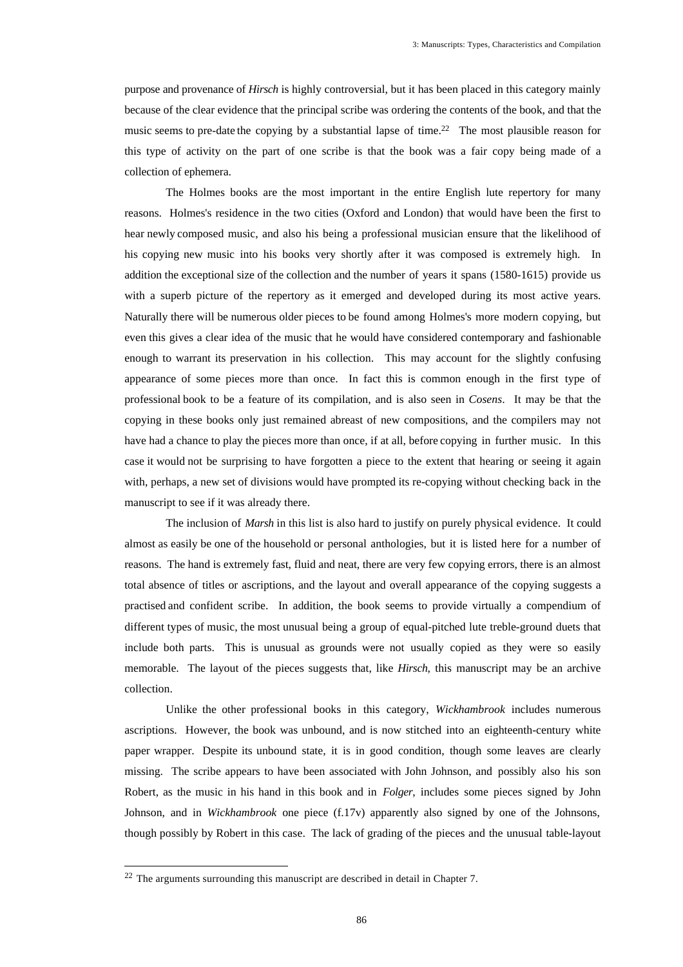purpose and provenance of *Hirsch* is highly controversial, but it has been placed in this category mainly because of the clear evidence that the principal scribe was ordering the contents of the book, and that the music seems to pre-date the copying by a substantial lapse of time.<sup>22</sup> The most plausible reason for this type of activity on the part of one scribe is that the book was a fair copy being made of a collection of ephemera.

The Holmes books are the most important in the entire English lute repertory for many reasons. Holmes's residence in the two cities (Oxford and London) that would have been the first to hear newly composed music, and also his being a professional musician ensure that the likelihood of his copying new music into his books very shortly after it was composed is extremely high. In addition the exceptional size of the collection and the number of years it spans (1580-1615) provide us with a superb picture of the repertory as it emerged and developed during its most active years. Naturally there will be numerous older pieces to be found among Holmes's more modern copying, but even this gives a clear idea of the music that he would have considered contemporary and fashionable enough to warrant its preservation in his collection. This may account for the slightly confusing appearance of some pieces more than once. In fact this is common enough in the first type of professional book to be a feature of its compilation, and is also seen in *Cosens*. It may be that the copying in these books only just remained abreast of new compositions, and the compilers may not have had a chance to play the pieces more than once, if at all, before copying in further music. In this case it would not be surprising to have forgotten a piece to the extent that hearing or seeing it again with, perhaps, a new set of divisions would have prompted its re-copying without checking back in the manuscript to see if it was already there.

The inclusion of *Marsh* in this list is also hard to justify on purely physical evidence. It could almost as easily be one of the household or personal anthologies, but it is listed here for a number of reasons. The hand is extremely fast, fluid and neat, there are very few copying errors, there is an almost total absence of titles or ascriptions, and the layout and overall appearance of the copying suggests a practised and confident scribe. In addition, the book seems to provide virtually a compendium of different types of music, the most unusual being a group of equal-pitched lute treble-ground duets that include both parts. This is unusual as grounds were not usually copied as they were so easily memorable. The layout of the pieces suggests that, like *Hirsch*, this manuscript may be an archive collection.

Unlike the other professional books in this category, *Wickhambrook* includes numerous ascriptions. However, the book was unbound, and is now stitched into an eighteenth-century white paper wrapper. Despite its unbound state, it is in good condition, though some leaves are clearly missing. The scribe appears to have been associated with John Johnson, and possibly also his son Robert, as the music in his hand in this book and in *Folger*, includes some pieces signed by John Johnson, and in *Wickhambrook* one piece (f.17v) apparently also signed by one of the Johnsons, though possibly by Robert in this case. The lack of grading of the pieces and the unusual table-layout

 $22$  The arguments surrounding this manuscript are described in detail in Chapter 7.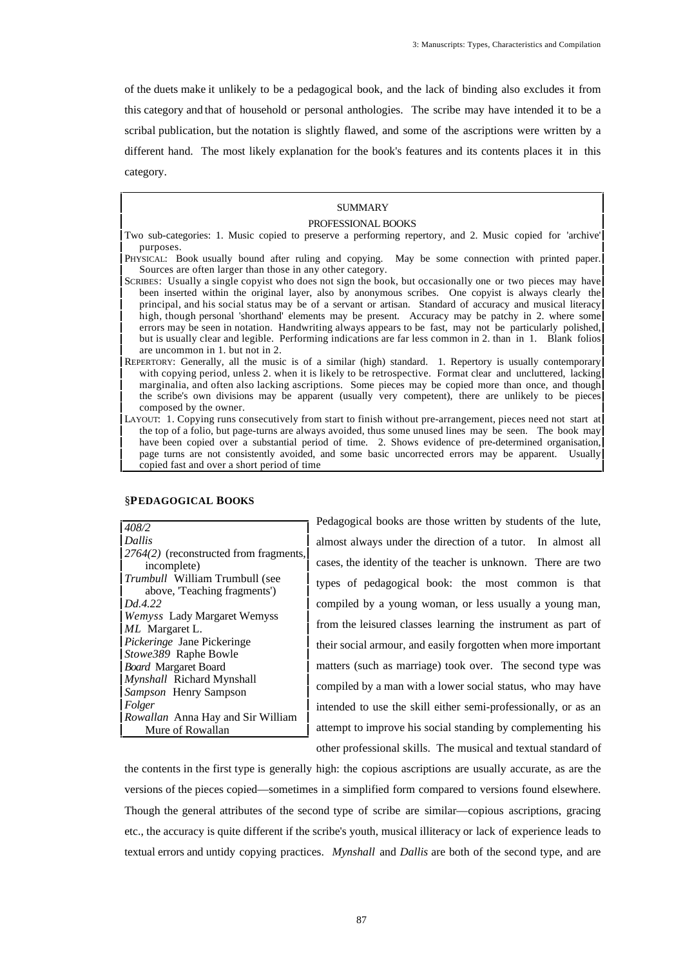of the duets make it unlikely to be a pedagogical book, and the lack of binding also excludes it from this category and that of household or personal anthologies. The scribe may have intended it to be a scribal publication, but the notation is slightly flawed, and some of the ascriptions were written by a different hand. The most likely explanation for the book's features and its contents places it in this category.

# **SUMMARY**

# PROFESSIONAL BOOKS

- Two sub-categories: 1. Music copied to preserve a performing repertory, and 2. Music copied for 'archive' purposes.
- PHYSICAL: Book usually bound after ruling and copying. May be some connection with printed paper. Sources are often larger than those in any other category.
- SCRIBES: Usually a single copyist who does not sign the book, but occasionally one or two pieces may have been inserted within the original layer, also by anonymous scribes. One copyist is always clearly the principal, and his social status may be of a servant or artisan. Standard of accuracy and musical literacy high, though personal 'shorthand' elements may be present. Accuracy may be patchy in 2. where some errors may be seen in notation. Handwriting always appears to be fast, may not be particularly polished, but is usually clear and legible. Performing indications are far less common in 2. than in 1. Blank folios are uncommon in 1. but not in 2.
- REPERTORY: Generally, all the music is of a similar (high) standard. 1. Repertory is usually contemporary with copying period, unless 2. when it is likely to be retrospective. Format clear and uncluttered, lacking marginalia, and often also lacking ascriptions. Some pieces may be copied more than once, and though the scribe's own divisions may be apparent (usually very competent), there are unlikely to be pieces composed by the owner.
- LAYOUT: 1. Copying runs consecutively from start to finish without pre-arrangement, pieces need not start at the top of a folio, but page-turns are always avoided, thus some unused lines may be seen. The book may have been copied over a substantial period of time. 2. Shows evidence of pre-determined organisation, page turns are not consistently avoided, and some basic uncorrected errors may be apparent. Usually copied fast and over a short period of time

| 408/2                                    |
|------------------------------------------|
| Dallis                                   |
| $2764(2)$ (reconstructed from fragments, |
| incomplete)                              |
| <i>Trumbull</i> William Trumbull (see    |
| above, Teaching fragments')              |
| Dd.4.22                                  |
| <b>Wemyss</b> Lady Margaret Wemyss       |
| ML Margaret L.                           |
| <i>Pickeringe</i> Jane Pickeringe        |
| Stowe389 Raphe Bowle                     |
| <b>Board Margaret Board</b>              |
| <i>Mynshall</i> Richard Mynshall         |
| <i>Sampson</i> Henry Sampson             |
| Folger                                   |
| Rowallan Anna Hay and Sir William        |
| Mure of Rowallan                         |

#### §**PEDAGOGICAL BOOKS**

Pedagogical books are those written by students of the lute, almost always under the direction of a tutor. In almost all cases, the identity of the teacher is unknown. There are two types of pedagogical book: the most common is that compiled by a young woman, or less usually a young man, from the leisured classes learning the instrument as part of their social armour, and easily forgotten when more important matters (such as marriage) took over. The second type was compiled by a man with a lower social status, who may have intended to use the skill either semi-professionally, or as an attempt to improve his social standing by complementing his other professional skills. The musical and textual standard of

the contents in the first type is generally high: the copious ascriptions are usually accurate, as are the versions of the pieces copied—sometimes in a simplified form compared to versions found elsewhere. Though the general attributes of the second type of scribe are similar—copious ascriptions, gracing etc., the accuracy is quite different if the scribe's youth, musical illiteracy or lack of experience leads to textual errors and untidy copying practices. *Mynshall* and *Dallis* are both of the second type, and are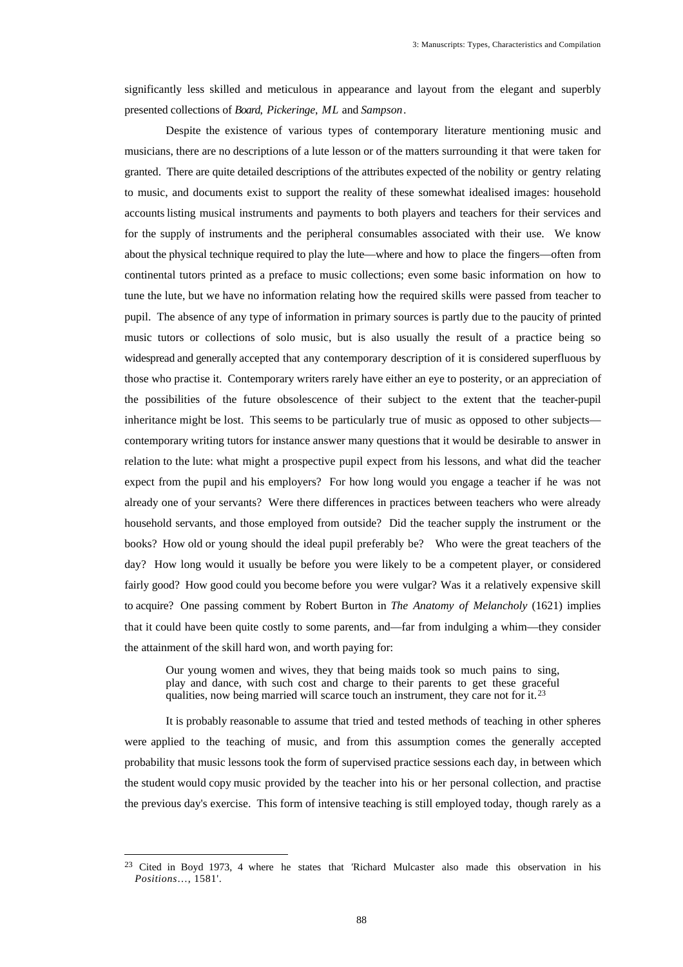significantly less skilled and meticulous in appearance and layout from the elegant and superbly presented collections of *Board*, *Pickeringe*, *ML* and *Sampson*.

Despite the existence of various types of contemporary literature mentioning music and musicians, there are no descriptions of a lute lesson or of the matters surrounding it that were taken for granted. There are quite detailed descriptions of the attributes expected of the nobility or gentry relating to music, and documents exist to support the reality of these somewhat idealised images: household accounts listing musical instruments and payments to both players and teachers for their services and for the supply of instruments and the peripheral consumables associated with their use. We know about the physical technique required to play the lute—where and how to place the fingers—often from continental tutors printed as a preface to music collections; even some basic information on how to tune the lute, but we have no information relating how the required skills were passed from teacher to pupil. The absence of any type of information in primary sources is partly due to the paucity of printed music tutors or collections of solo music, but is also usually the result of a practice being so widespread and generally accepted that any contemporary description of it is considered superfluous by those who practise it. Contemporary writers rarely have either an eye to posterity, or an appreciation of the possibilities of the future obsolescence of their subject to the extent that the teacher-pupil inheritance might be lost. This seems to be particularly true of music as opposed to other subjects contemporary writing tutors for instance answer many questions that it would be desirable to answer in relation to the lute: what might a prospective pupil expect from his lessons, and what did the teacher expect from the pupil and his employers? For how long would you engage a teacher if he was not already one of your servants? Were there differences in practices between teachers who were already household servants, and those employed from outside? Did the teacher supply the instrument or the books? How old or young should the ideal pupil preferably be? Who were the great teachers of the day? How long would it usually be before you were likely to be a competent player, or considered fairly good? How good could you become before you were vulgar? Was it a relatively expensive skill to acquire? One passing comment by Robert Burton in *The Anatomy of Melancholy* (1621) implies that it could have been quite costly to some parents, and—far from indulging a whim—they consider the attainment of the skill hard won, and worth paying for:

Our young women and wives, they that being maids took so much pains to sing, play and dance, with such cost and charge to their parents to get these graceful qualities, now being married will scarce touch an instrument, they care not for it.<sup>23</sup>

It is probably reasonable to assume that tried and tested methods of teaching in other spheres were applied to the teaching of music, and from this assumption comes the generally accepted probability that music lessons took the form of supervised practice sessions each day, in between which the student would copy music provided by the teacher into his or her personal collection, and practise the previous day's exercise. This form of intensive teaching is still employed today, though rarely as a

<sup>&</sup>lt;sup>23</sup> Cited in Boyd 1973, 4 where he states that 'Richard Mulcaster also made this observation in his *Positions*…, 1581'.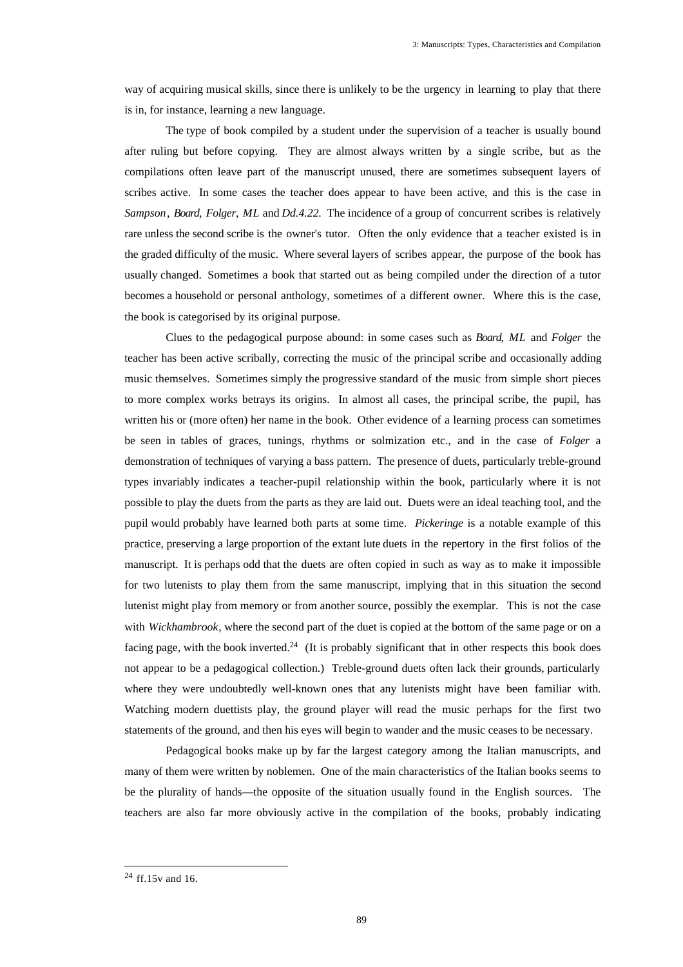way of acquiring musical skills, since there is unlikely to be the urgency in learning to play that there is in, for instance, learning a new language.

The type of book compiled by a student under the supervision of a teacher is usually bound after ruling but before copying. They are almost always written by a single scribe, but as the compilations often leave part of the manuscript unused, there are sometimes subsequent layers of scribes active. In some cases the teacher does appear to have been active, and this is the case in *Sampson*, *Board*, *Folger*, *ML* and *Dd.4.22*. The incidence of a group of concurrent scribes is relatively rare unless the second scribe is the owner's tutor. Often the only evidence that a teacher existed is in the graded difficulty of the music. Where several layers of scribes appear, the purpose of the book has usually changed. Sometimes a book that started out as being compiled under the direction of a tutor becomes a household or personal anthology, sometimes of a different owner. Where this is the case, the book is categorised by its original purpose.

Clues to the pedagogical purpose abound: in some cases such as *Board*, *ML* and *Folger* the teacher has been active scribally, correcting the music of the principal scribe and occasionally adding music themselves. Sometimes simply the progressive standard of the music from simple short pieces to more complex works betrays its origins. In almost all cases, the principal scribe, the pupil, has written his or (more often) her name in the book. Other evidence of a learning process can sometimes be seen in tables of graces, tunings, rhythms or solmization etc., and in the case of *Folger* a demonstration of techniques of varying a bass pattern. The presence of duets, particularly treble-ground types invariably indicates a teacher-pupil relationship within the book, particularly where it is not possible to play the duets from the parts as they are laid out. Duets were an ideal teaching tool, and the pupil would probably have learned both parts at some time. *Pickeringe* is a notable example of this practice, preserving a large proportion of the extant lute duets in the repertory in the first folios of the manuscript. It is perhaps odd that the duets are often copied in such as way as to make it impossible for two lutenists to play them from the same manuscript, implying that in this situation the second lutenist might play from memory or from another source, possibly the exemplar. This is not the case with *Wickhambrook*, where the second part of the duet is copied at the bottom of the same page or on a facing page, with the book inverted.<sup>24</sup> (It is probably significant that in other respects this book does not appear to be a pedagogical collection.) Treble-ground duets often lack their grounds, particularly where they were undoubtedly well-known ones that any lutenists might have been familiar with. Watching modern duettists play, the ground player will read the music perhaps for the first two statements of the ground, and then his eyes will begin to wander and the music ceases to be necessary.

Pedagogical books make up by far the largest category among the Italian manuscripts, and many of them were written by noblemen. One of the main characteristics of the Italian books seems to be the plurality of hands—the opposite of the situation usually found in the English sources. The teachers are also far more obviously active in the compilation of the books, probably indicating

 $24$  ff.15v and 16.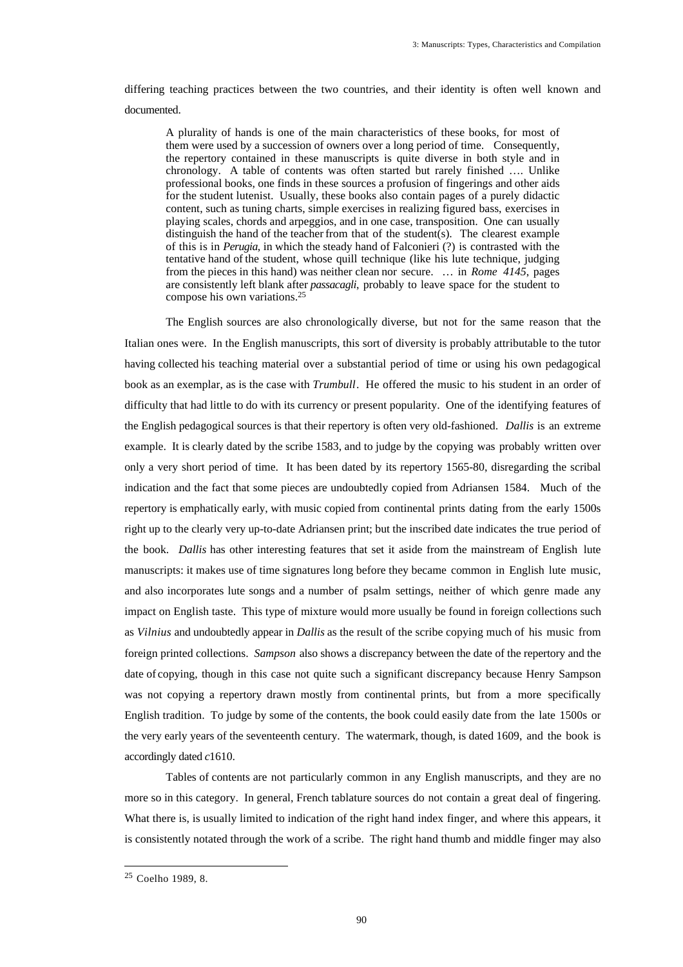differing teaching practices between the two countries, and their identity is often well known and documented.

A plurality of hands is one of the main characteristics of these books, for most of them were used by a succession of owners over a long period of time. Consequently, the repertory contained in these manuscripts is quite diverse in both style and in chronology. A table of contents was often started but rarely finished …. Unlike professional books, one finds in these sources a profusion of fingerings and other aids for the student lutenist. Usually, these books also contain pages of a purely didactic content, such as tuning charts, simple exercises in realizing figured bass, exercises in playing scales, chords and arpeggios, and in one case, transposition. One can usually distinguish the hand of the teacher from that of the student(s). The clearest example of this is in *Perugia*, in which the steady hand of Falconieri (?) is contrasted with the tentative hand of the student, whose quill technique (like his lute technique, judging from the pieces in this hand) was neither clean nor secure. … in *Rome 4145*, pages are consistently left blank after *passacagli*, probably to leave space for the student to compose his own variations.<sup>25</sup>

The English sources are also chronologically diverse, but not for the same reason that the Italian ones were. In the English manuscripts, this sort of diversity is probably attributable to the tutor having collected his teaching material over a substantial period of time or using his own pedagogical book as an exemplar, as is the case with *Trumbull*. He offered the music to his student in an order of difficulty that had little to do with its currency or present popularity. One of the identifying features of the English pedagogical sources is that their repertory is often very old-fashioned. *Dallis* is an extreme example. It is clearly dated by the scribe 1583, and to judge by the copying was probably written over only a very short period of time. It has been dated by its repertory 1565-80, disregarding the scribal indication and the fact that some pieces are undoubtedly copied from Adriansen 1584. Much of the repertory is emphatically early, with music copied from continental prints dating from the early 1500s right up to the clearly very up-to-date Adriansen print; but the inscribed date indicates the true period of the book. *Dallis* has other interesting features that set it aside from the mainstream of English lute manuscripts: it makes use of time signatures long before they became common in English lute music, and also incorporates lute songs and a number of psalm settings, neither of which genre made any impact on English taste. This type of mixture would more usually be found in foreign collections such as *Vilnius* and undoubtedly appear in *Dallis* as the result of the scribe copying much of his music from foreign printed collections. *Sampson* also shows a discrepancy between the date of the repertory and the date of copying, though in this case not quite such a significant discrepancy because Henry Sampson was not copying a repertory drawn mostly from continental prints, but from a more specifically English tradition. To judge by some of the contents, the book could easily date from the late 1500s or the very early years of the seventeenth century. The watermark, though, is dated 1609, and the book is accordingly dated *c*1610.

Tables of contents are not particularly common in any English manuscripts, and they are no more so in this category. In general, French tablature sources do not contain a great deal of fingering. What there is, is usually limited to indication of the right hand index finger, and where this appears, it is consistently notated through the work of a scribe. The right hand thumb and middle finger may also

<sup>25</sup> Coelho 1989, 8.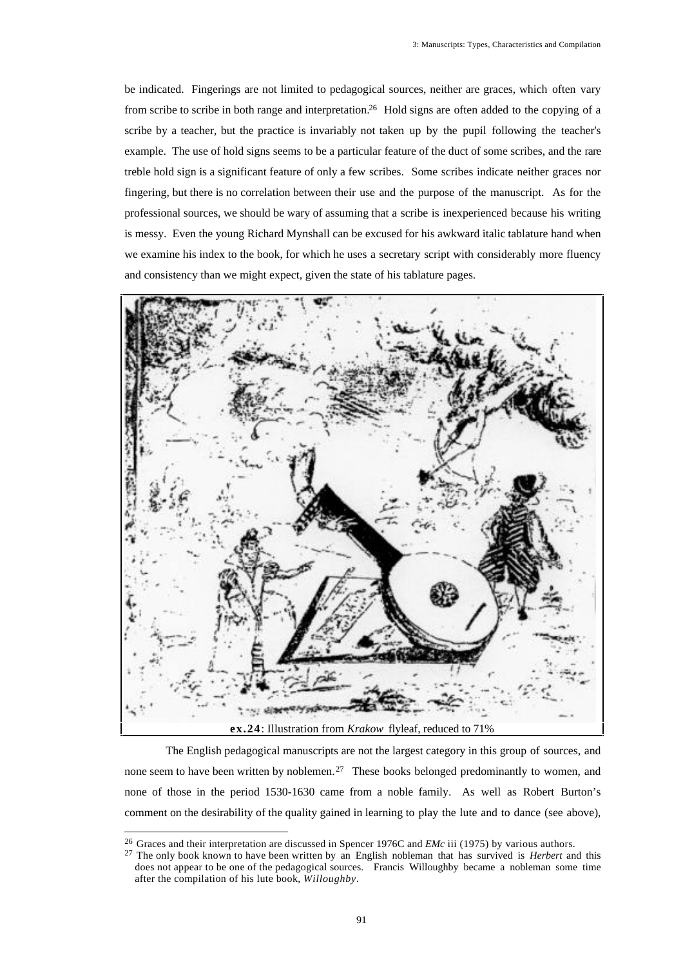be indicated. Fingerings are not limited to pedagogical sources, neither are graces, which often vary from scribe to scribe in both range and interpretation.<sup>26</sup> Hold signs are often added to the copying of a scribe by a teacher, but the practice is invariably not taken up by the pupil following the teacher's example. The use of hold signs seems to be a particular feature of the duct of some scribes, and the rare treble hold sign is a significant feature of only a few scribes. Some scribes indicate neither graces nor fingering, but there is no correlation between their use and the purpose of the manuscript. As for the professional sources, we should be wary of assuming that a scribe is inexperienced because his writing is messy. Even the young Richard Mynshall can be excused for his awkward italic tablature hand when we examine his index to the book, for which he uses a secretary script with considerably more fluency and consistency than we might expect, given the state of his tablature pages.



The English pedagogical manuscripts are not the largest category in this group of sources, and none seem to have been written by noblemen.<sup>27</sup> These books belonged predominantly to women, and none of those in the period 1530-1630 came from a noble family. As well as Robert Burton's comment on the desirability of the quality gained in learning to play the lute and to dance (see above),

<sup>26</sup> Graces and their interpretation are discussed in Spencer 1976C and *EMc* iii (1975) by various authors.

<sup>27</sup> The only book known to have been written by an English nobleman that has survived is *Herbert* and this does not appear to be one of the pedagogical sources. Francis Willoughby became a nobleman some time after the compilation of his lute book, *Willoughby*.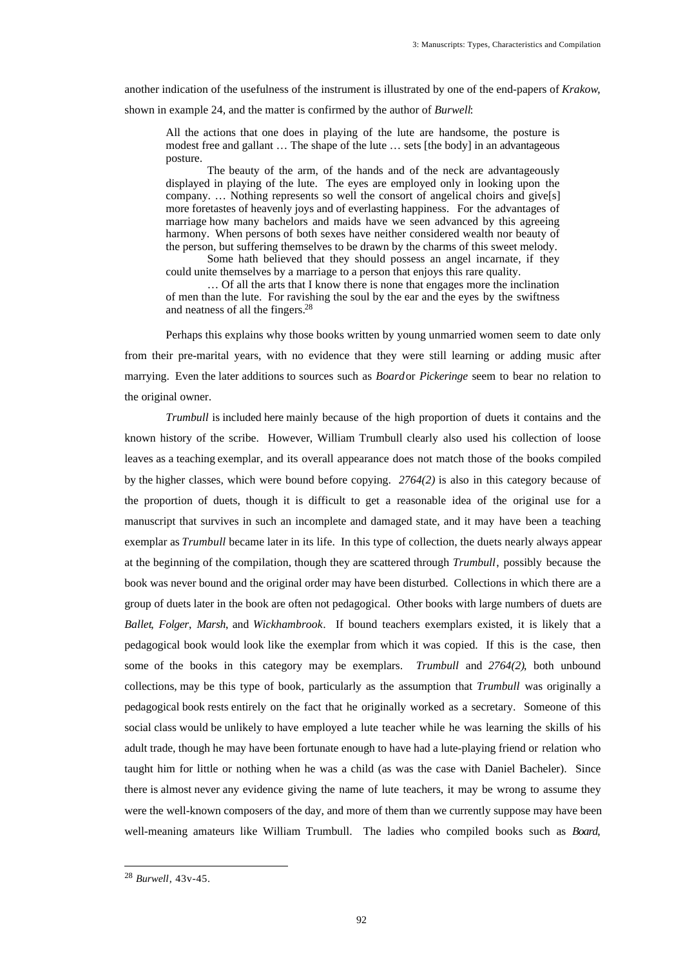another indication of the usefulness of the instrument is illustrated by one of the end-papers of *Krakow*, shown in example 24, and the matter is confirmed by the author of *Burwell*:

All the actions that one does in playing of the lute are handsome, the posture is modest free and gallant … The shape of the lute … sets [the body] in an advantageous posture.

The beauty of the arm, of the hands and of the neck are advantageously displayed in playing of the lute. The eyes are employed only in looking upon the company. … Nothing represents so well the consort of angelical choirs and give[s] more foretastes of heavenly joys and of everlasting happiness. For the advantages of marriage how many bachelors and maids have we seen advanced by this agreeing harmony. When persons of both sexes have neither considered wealth nor beauty of the person, but suffering themselves to be drawn by the charms of this sweet melody. Some hath believed that they should possess an angel incarnate, if they

could unite themselves by a marriage to a person that enjoys this rare quality.

… Of all the arts that I know there is none that engages more the inclination of men than the lute. For ravishing the soul by the ear and the eyes by the swiftness and neatness of all the fingers.<sup>28</sup>

Perhaps this explains why those books written by young unmarried women seem to date only from their pre-marital years, with no evidence that they were still learning or adding music after marrying. Even the later additions to sources such as *Board* or *Pickeringe* seem to bear no relation to the original owner.

*Trumbull* is included here mainly because of the high proportion of duets it contains and the known history of the scribe. However, William Trumbull clearly also used his collection of loose leaves as a teaching exemplar, and its overall appearance does not match those of the books compiled by the higher classes, which were bound before copying. *2764(2)* is also in this category because of the proportion of duets, though it is difficult to get a reasonable idea of the original use for a manuscript that survives in such an incomplete and damaged state, and it may have been a teaching exemplar as *Trumbull* became later in its life. In this type of collection, the duets nearly always appear at the beginning of the compilation, though they are scattered through *Trumbull*, possibly because the book was never bound and the original order may have been disturbed. Collections in which there are a group of duets later in the book are often not pedagogical. Other books with large numbers of duets are *Ballet*, *Folger*, *Marsh*, and *Wickhambrook*. If bound teachers exemplars existed, it is likely that a pedagogical book would look like the exemplar from which it was copied. If this is the case, then some of the books in this category may be exemplars. *Trumbull* and *2764(2)*, both unbound collections, may be this type of book, particularly as the assumption that *Trumbull* was originally a pedagogical book rests entirely on the fact that he originally worked as a secretary. Someone of this social class would be unlikely to have employed a lute teacher while he was learning the skills of his adult trade, though he may have been fortunate enough to have had a lute-playing friend or relation who taught him for little or nothing when he was a child (as was the case with Daniel Bacheler). Since there is almost never any evidence giving the name of lute teachers, it may be wrong to assume they were the well-known composers of the day, and more of them than we currently suppose may have been well-meaning amateurs like William Trumbull. The ladies who compiled books such as *Board*,

<sup>28</sup> *Burwell*, 43v-45.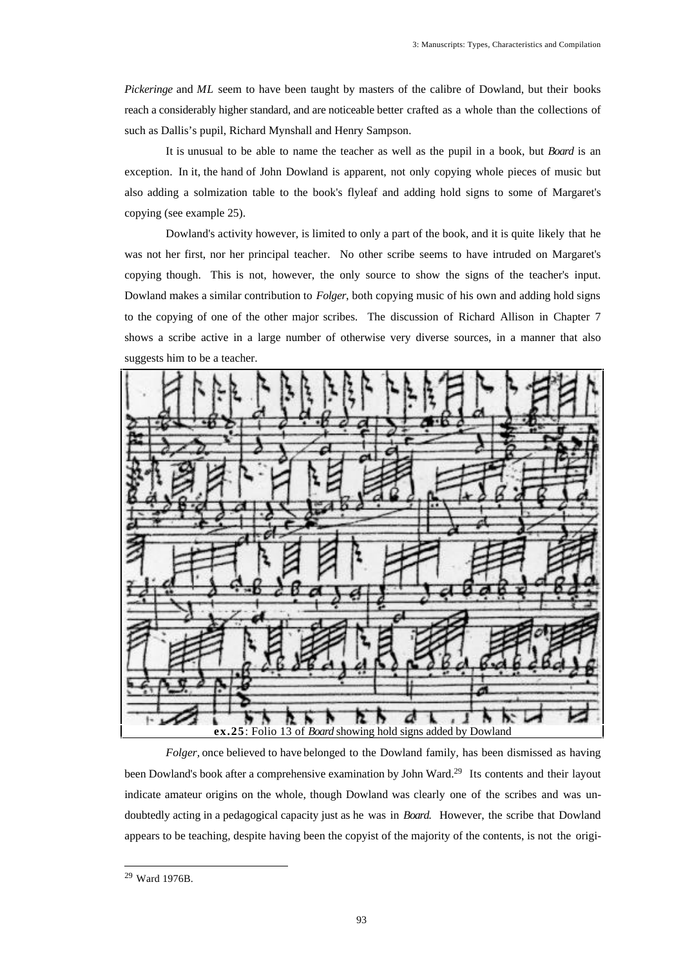*Pickeringe* and *ML* seem to have been taught by masters of the calibre of Dowland, but their books reach a considerably higher standard, and are noticeable better crafted as a whole than the collections of such as Dallis's pupil, Richard Mynshall and Henry Sampson.

It is unusual to be able to name the teacher as well as the pupil in a book, but *Board* is an exception. In it, the hand of John Dowland is apparent, not only copying whole pieces of music but also adding a solmization table to the book's flyleaf and adding hold signs to some of Margaret's copying (see example 25).

Dowland's activity however, is limited to only a part of the book, and it is quite likely that he was not her first, nor her principal teacher. No other scribe seems to have intruded on Margaret's copying though. This is not, however, the only source to show the signs of the teacher's input. Dowland makes a similar contribution to *Folger*, both copying music of his own and adding hold signs to the copying of one of the other major scribes. The discussion of Richard Allison in Chapter 7 shows a scribe active in a large number of otherwise very diverse sources, in a manner that also suggests him to be a teacher.



*Folger*, once believed to have belonged to the Dowland family, has been dismissed as having been Dowland's book after a comprehensive examination by John Ward.<sup>29</sup> Its contents and their layout indicate amateur origins on the whole, though Dowland was clearly one of the scribes and was undoubtedly acting in a pedagogical capacity just as he was in *Board*. However, the scribe that Dowland appears to be teaching, despite having been the copyist of the majority of the contents, is not the origi-

<sup>29</sup> Ward 1976B.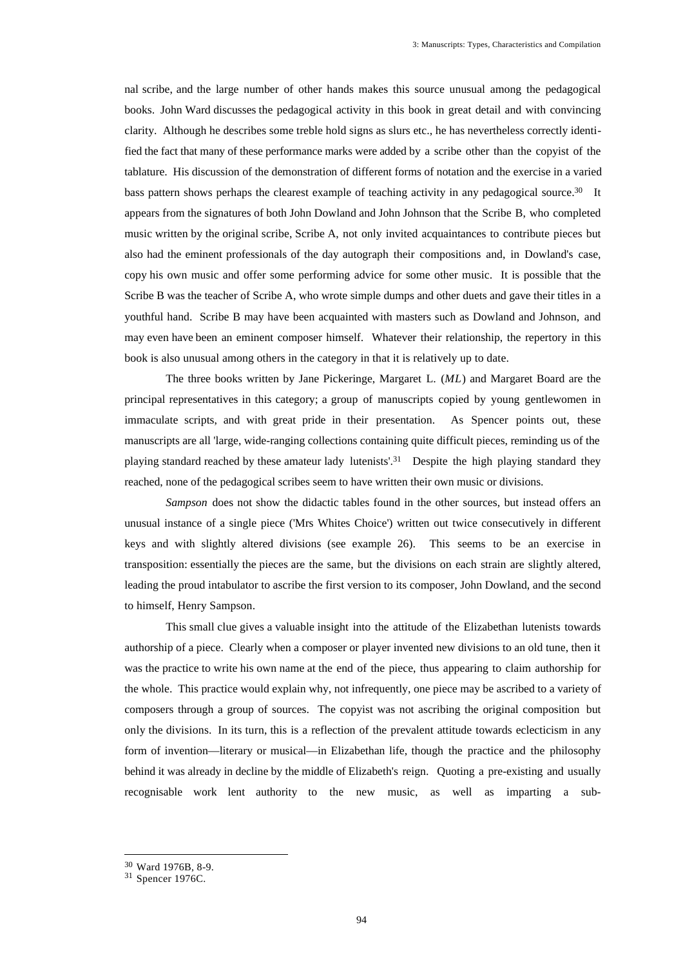nal scribe, and the large number of other hands makes this source unusual among the pedagogical books. John Ward discusses the pedagogical activity in this book in great detail and with convincing clarity. Although he describes some treble hold signs as slurs etc., he has nevertheless correctly identified the fact that many of these performance marks were added by a scribe other than the copyist of the tablature. His discussion of the demonstration of different forms of notation and the exercise in a varied bass pattern shows perhaps the clearest example of teaching activity in any pedagogical source.<sup>30</sup> It appears from the signatures of both John Dowland and John Johnson that the Scribe B, who completed music written by the original scribe, Scribe A, not only invited acquaintances to contribute pieces but also had the eminent professionals of the day autograph their compositions and, in Dowland's case, copy his own music and offer some performing advice for some other music. It is possible that the Scribe B was the teacher of Scribe A, who wrote simple dumps and other duets and gave their titles in a youthful hand. Scribe B may have been acquainted with masters such as Dowland and Johnson, and may even have been an eminent composer himself. Whatever their relationship, the repertory in this book is also unusual among others in the category in that it is relatively up to date.

The three books written by Jane Pickeringe, Margaret L. (*ML*) and Margaret Board are the principal representatives in this category; a group of manuscripts copied by young gentlewomen in immaculate scripts, and with great pride in their presentation. As Spencer points out, these manuscripts are all 'large, wide-ranging collections containing quite difficult pieces, reminding us of the playing standard reached by these amateur lady lutenists'.<sup>31</sup> Despite the high playing standard they reached, none of the pedagogical scribes seem to have written their own music or divisions.

*Sampson* does not show the didactic tables found in the other sources, but instead offers an unusual instance of a single piece ('Mrs Whites Choice') written out twice consecutively in different keys and with slightly altered divisions (see example 26). This seems to be an exercise in transposition: essentially the pieces are the same, but the divisions on each strain are slightly altered, leading the proud intabulator to ascribe the first version to its composer, John Dowland, and the second to himself, Henry Sampson.

This small clue gives a valuable insight into the attitude of the Elizabethan lutenists towards authorship of a piece. Clearly when a composer or player invented new divisions to an old tune, then it was the practice to write his own name at the end of the piece, thus appearing to claim authorship for the whole. This practice would explain why, not infrequently, one piece may be ascribed to a variety of composers through a group of sources. The copyist was not ascribing the original composition but only the divisions. In its turn, this is a reflection of the prevalent attitude towards eclecticism in any form of invention—literary or musical—in Elizabethan life, though the practice and the philosophy behind it was already in decline by the middle of Elizabeth's reign. Quoting a pre-existing and usually recognisable work lent authority to the new music, as well as imparting a sub-

<sup>30</sup> Ward 1976B, 8-9.

 $31$  Spencer 1976C.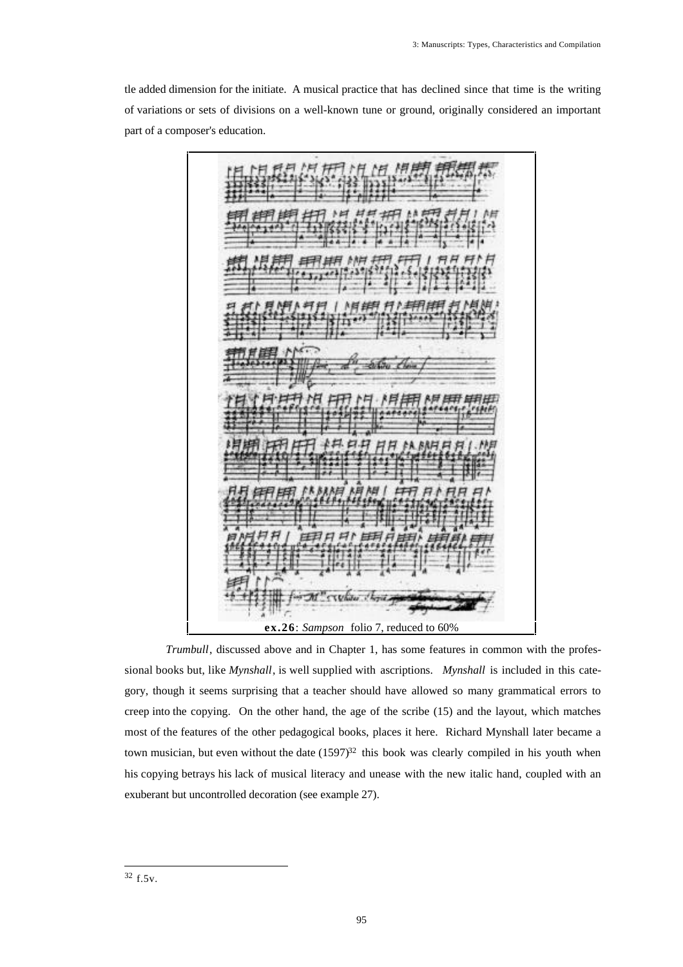tle added dimension for the initiate. A musical practice that has declined since that time is the writing of variations or sets of divisions on a well-known tune or ground, originally considered an important part of a composer's education.

**ex.26**: *Sampson* folio 7, reduced to 60%

*Trumbull*, discussed above and in Chapter 1, has some features in common with the professional books but, like *Mynshall*, is well supplied with ascriptions. *Mynshall* is included in this category, though it seems surprising that a teacher should have allowed so many grammatical errors to creep into the copying. On the other hand, the age of the scribe (15) and the layout, which matches most of the features of the other pedagogical books, places it here. Richard Mynshall later became a town musician, but even without the date  $(1597)^{32}$  this book was clearly compiled in his youth when his copying betrays his lack of musical literacy and unease with the new italic hand, coupled with an exuberant but uncontrolled decoration (see example 27).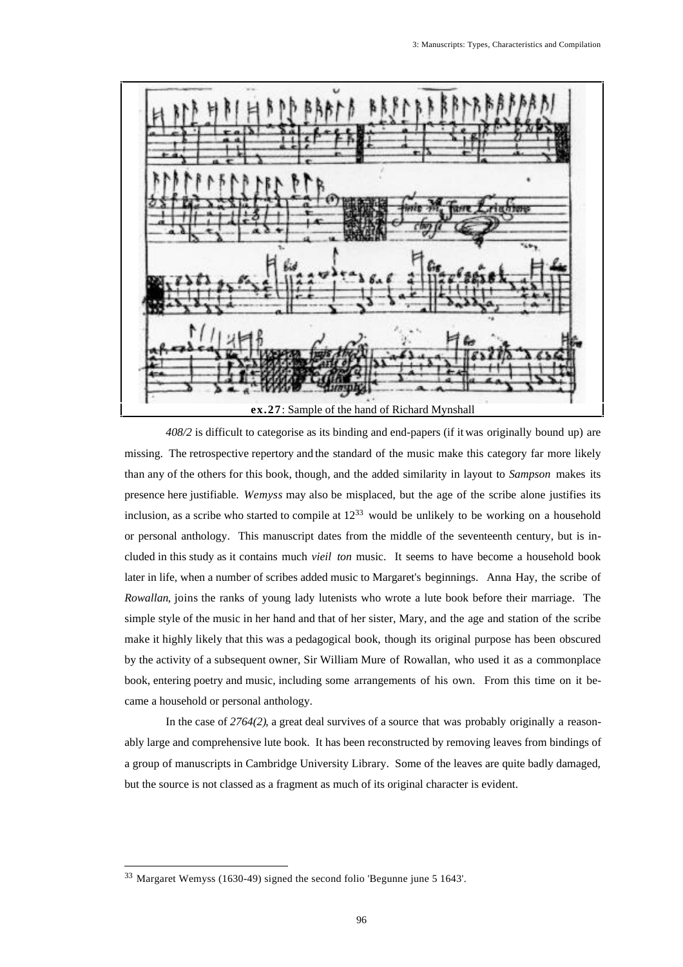

*408/2* is difficult to categorise as its binding and end-papers (if it was originally bound up) are missing. The retrospective repertory and the standard of the music make this category far more likely than any of the others for this book, though, and the added similarity in layout to *Sampson* makes its presence here justifiable. *Wemyss* may also be misplaced, but the age of the scribe alone justifies its inclusion, as a scribe who started to compile at 12<sup>33</sup> would be unlikely to be working on a household or personal anthology. This manuscript dates from the middle of the seventeenth century, but is included in this study as it contains much *vieil ton* music. It seems to have become a household book later in life, when a number of scribes added music to Margaret's beginnings. Anna Hay, the scribe of *Rowallan*, joins the ranks of young lady lutenists who wrote a lute book before their marriage. The simple style of the music in her hand and that of her sister, Mary, and the age and station of the scribe make it highly likely that this was a pedagogical book, though its original purpose has been obscured by the activity of a subsequent owner, Sir William Mure of Rowallan, who used it as a commonplace book, entering poetry and music, including some arrangements of his own. From this time on it became a household or personal anthology.

In the case of *2764(2)*, a great deal survives of a source that was probably originally a reasonably large and comprehensive lute book. It has been reconstructed by removing leaves from bindings of a group of manuscripts in Cambridge University Library. Some of the leaves are quite badly damaged, but the source is not classed as a fragment as much of its original character is evident.

<sup>33</sup> Margaret Wemyss (1630-49) signed the second folio 'Begunne june 5 1643'.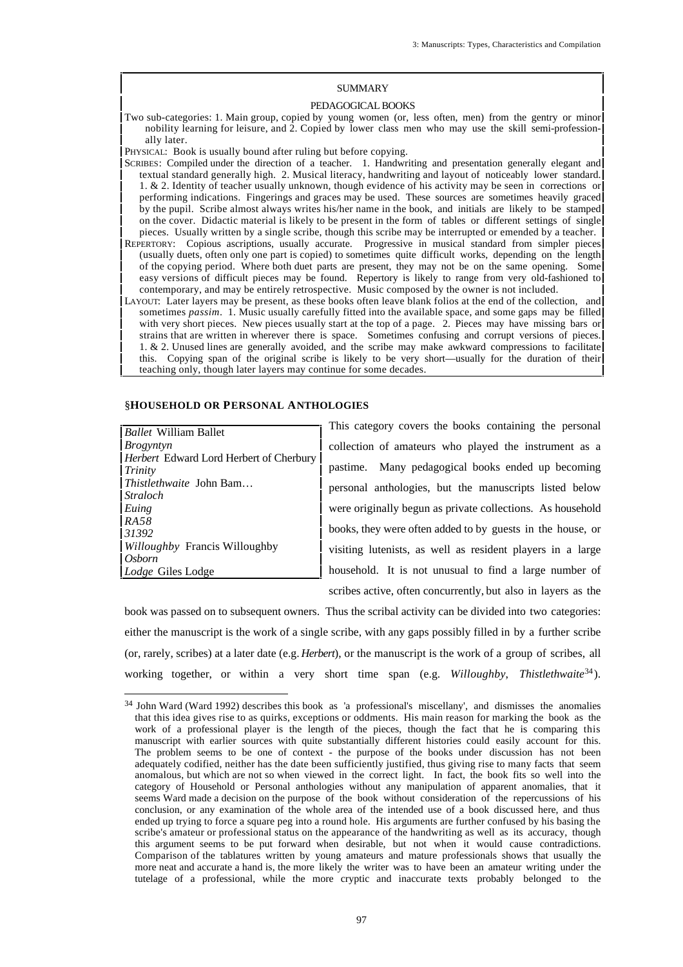# SUMMARY

### PEDAGOGICAL BOOKS

Two sub-categories: 1. Main group, copied by young women (or, less often, men) from the gentry or minor nobility learning for leisure, and 2. Copied by lower class men who may use the skill semi-professionally later.

PHYSICAL: Book is usually bound after ruling but before copying.

- SCRIBES: Compiled under the direction of a teacher. 1. Handwriting and presentation generally elegant and textual standard generally high. 2. Musical literacy, handwriting and layout of noticeably lower standard. 1. & 2. Identity of teacher usually unknown, though evidence of his activity may be seen in corrections or performing indications. Fingerings and graces may be used. These sources are sometimes heavily graced by the pupil. Scribe almost always writes his/her name in the book, and initials are likely to be stamped on the cover. Didactic material is likely to be present in the form of tables or different settings of single pieces. Usually written by a single scribe, though this scribe may be interrupted or emended by a teacher. REPERTORY: Copious ascriptions, usually accurate. Progressive in musical standard from simpler pieces (usually duets, often only one part is copied) to sometimes quite difficult works, depending on the length
- of the copying period. Where both duet parts are present, they may not be on the same opening. Some easy versions of difficult pieces may be found. Repertory is likely to range from very old-fashioned to contemporary, and may be entirely retrospective. Music composed by the owner is not included. LAYOUT: Later layers may be present, as these books often leave blank folios at the end of the collection, and
- sometimes *passim*. 1. Music usually carefully fitted into the available space, and some gaps may be filled with very short pieces. New pieces usually start at the top of a page. 2. Pieces may have missing bars or strains that are written in wherever there is space. Sometimes confusing and corrupt versions of pieces. 1. & 2. Unused lines are generally avoided, and the scribe may make awkward compressions to facilitate this. Copying span of the original scribe is likely to be very short—usually for the duration of their teaching only, though later layers may continue for some decades.

### §**HOUSEHOLD OR PERSONAL ANTHOLOGIES**

*Ballet* William Ballet *Brogyntyn Herbert* Edward Lord Herbert of Cherbury *Trinity Thistlethwaite* John Bam… *Straloch Euing RA58 31392 Willoughby* Francis Willoughby *Osborn Lodge* Giles Lodge

This category covers the books containing the personal collection of amateurs who played the instrument as a pastime. Many pedagogical books ended up becoming personal anthologies, but the manuscripts listed below were originally begun as private collections. As household books, they were often added to by guests in the house, or visiting lutenists, as well as resident players in a large household. It is not unusual to find a large number of scribes active, often concurrently, but also in layers as the

book was passed on to subsequent owners. Thus the scribal activity can be divided into two categories: either the manuscript is the work of a single scribe, with any gaps possibly filled in by a further scribe (or, rarely, scribes) at a later date (e.g. *Herbert*), or the manuscript is the work of a group of scribes, all working together, or within a very short time span (e.g. *Willoughby, Thistlethwaite*<sup>34</sup>).

<sup>34</sup> John Ward (Ward 1992) describes this book as 'a professional's miscellany', and dismisses the anomalies that this idea gives rise to as quirks, exceptions or oddments. His main reason for marking the book as the work of a professional player is the length of the pieces, though the fact that he is comparing this manuscript with earlier sources with quite substantially different histories could easily account for this. The problem seems to be one of context - the purpose of the books under discussion has not been adequately codified, neither has the date been sufficiently justified, thus giving rise to many facts that seem anomalous, but which are not so when viewed in the correct light. In fact, the book fits so well into the category of Household or Personal anthologies without any manipulation of apparent anomalies, that it seems Ward made a decision on the purpose of the book without consideration of the repercussions of his conclusion, or any examination of the whole area of the intended use of a book discussed here, and thus ended up trying to force a square peg into a round hole. His arguments are further confused by his basing the scribe's amateur or professional status on the appearance of the handwriting as well as its accuracy, though this argument seems to be put forward when desirable, but not when it would cause contradictions. Comparison of the tablatures written by young amateurs and mature professionals shows that usually the more neat and accurate a hand is, the more likely the writer was to have been an amateur writing under the tutelage of a professional, while the more cryptic and inaccurate texts probably belonged to the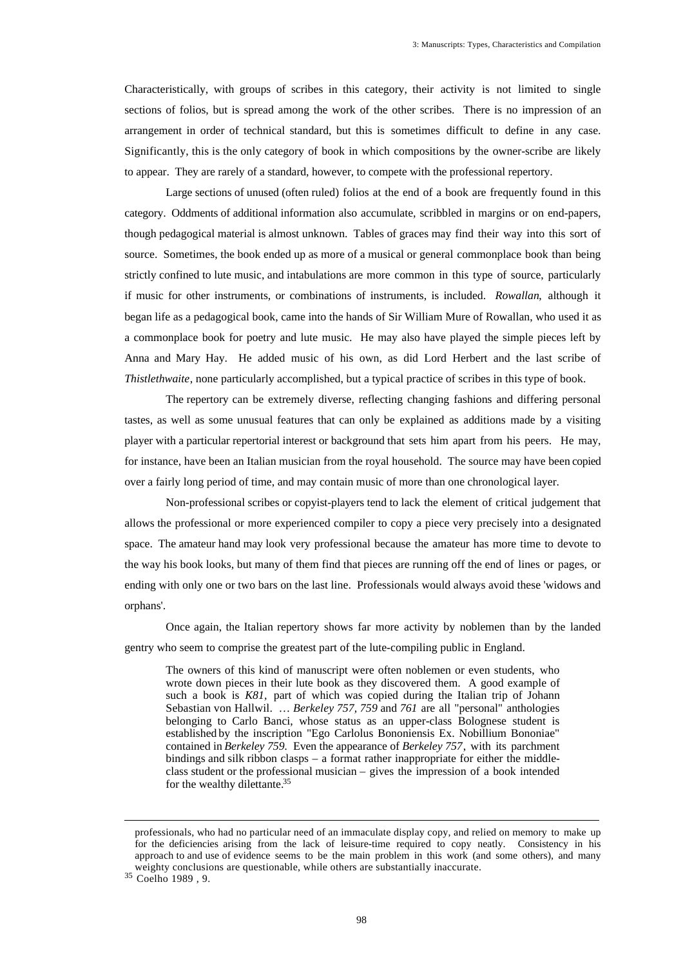Characteristically, with groups of scribes in this category, their activity is not limited to single sections of folios, but is spread among the work of the other scribes. There is no impression of an arrangement in order of technical standard, but this is sometimes difficult to define in any case. Significantly, this is the only category of book in which compositions by the owner-scribe are likely to appear. They are rarely of a standard, however, to compete with the professional repertory.

Large sections of unused (often ruled) folios at the end of a book are frequently found in this category. Oddments of additional information also accumulate, scribbled in margins or on end-papers, though pedagogical material is almost unknown. Tables of graces may find their way into this sort of source. Sometimes, the book ended up as more of a musical or general commonplace book than being strictly confined to lute music, and intabulations are more common in this type of source, particularly if music for other instruments, or combinations of instruments, is included. *Rowallan*, although it began life as a pedagogical book, came into the hands of Sir William Mure of Rowallan, who used it as a commonplace book for poetry and lute music. He may also have played the simple pieces left by Anna and Mary Hay. He added music of his own, as did Lord Herbert and the last scribe of *Thistlethwaite*, none particularly accomplished, but a typical practice of scribes in this type of book.

The repertory can be extremely diverse, reflecting changing fashions and differing personal tastes, as well as some unusual features that can only be explained as additions made by a visiting player with a particular repertorial interest or background that sets him apart from his peers. He may, for instance, have been an Italian musician from the royal household. The source may have been copied over a fairly long period of time, and may contain music of more than one chronological layer.

Non-professional scribes or copyist-players tend to lack the element of critical judgement that allows the professional or more experienced compiler to copy a piece very precisely into a designated space. The amateur hand may look very professional because the amateur has more time to devote to the way his book looks, but many of them find that pieces are running off the end of lines or pages, or ending with only one or two bars on the last line. Professionals would always avoid these 'widows and orphans'.

Once again, the Italian repertory shows far more activity by noblemen than by the landed gentry who seem to comprise the greatest part of the lute-compiling public in England.

The owners of this kind of manuscript were often noblemen or even students, who wrote down pieces in their lute book as they discovered them. A good example of such a book is *K81,* part of which was copied during the Italian trip of Johann Sebastian von Hallwil. … *Berkeley 757, 759* and *761* are all "personal" anthologies belonging to Carlo Banci, whose status as an upper-class Bolognese student is established by the inscription "Ego Carlolus Bononiensis Ex. Nobillium Bononiae" contained in *Berkeley 759.* Even the appearance of *Berkeley 757*, with its parchment bindings and silk ribbon clasps – a format rather inappropriate for either the middleclass student or the professional musician – gives the impression of a book intended for the wealthy dilettante.<sup>35</sup>

professionals, who had no particular need of an immaculate display copy, and relied on memory to make up for the deficiencies arising from the lack of leisure-time required to copy neatly. Consistency in his approach to and use of evidence seems to be the main problem in this work (and some others), and many weighty conclusions are questionable, while others are substantially inaccurate.

<sup>35</sup> Coelho 1989 , 9.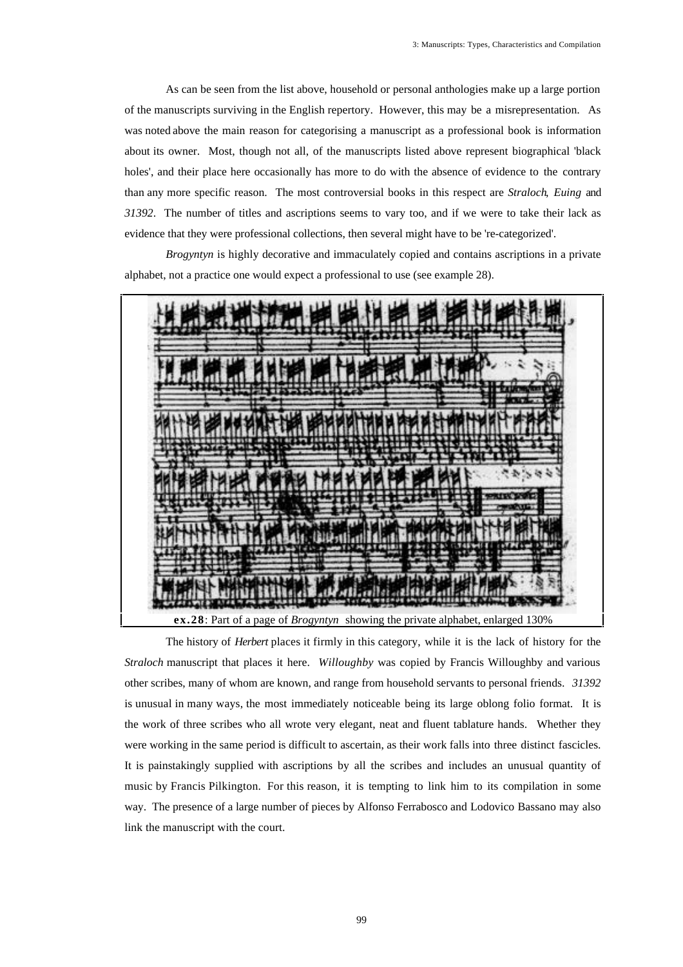As can be seen from the list above, household or personal anthologies make up a large portion of the manuscripts surviving in the English repertory. However, this may be a misrepresentation. As was noted above the main reason for categorising a manuscript as a professional book is information about its owner. Most, though not all, of the manuscripts listed above represent biographical 'black holes', and their place here occasionally has more to do with the absence of evidence to the contrary than any more specific reason. The most controversial books in this respect are *Straloch*, *Euing* and *31392*. The number of titles and ascriptions seems to vary too, and if we were to take their lack as evidence that they were professional collections, then several might have to be 're-categorized'.

*Brogyntyn* is highly decorative and immaculately copied and contains ascriptions in a private alphabet, not a practice one would expect a professional to use (see example 28).

![](_page_29_Picture_3.jpeg)

The history of *Herbert* places it firmly in this category, while it is the lack of history for the *Straloch* manuscript that places it here. *Willoughby* was copied by Francis Willoughby and various other scribes, many of whom are known, and range from household servants to personal friends. *31392* is unusual in many ways, the most immediately noticeable being its large oblong folio format. It is the work of three scribes who all wrote very elegant, neat and fluent tablature hands. Whether they were working in the same period is difficult to ascertain, as their work falls into three distinct fascicles. It is painstakingly supplied with ascriptions by all the scribes and includes an unusual quantity of music by Francis Pilkington. For this reason, it is tempting to link him to its compilation in some way. The presence of a large number of pieces by Alfonso Ferrabosco and Lodovico Bassano may also link the manuscript with the court.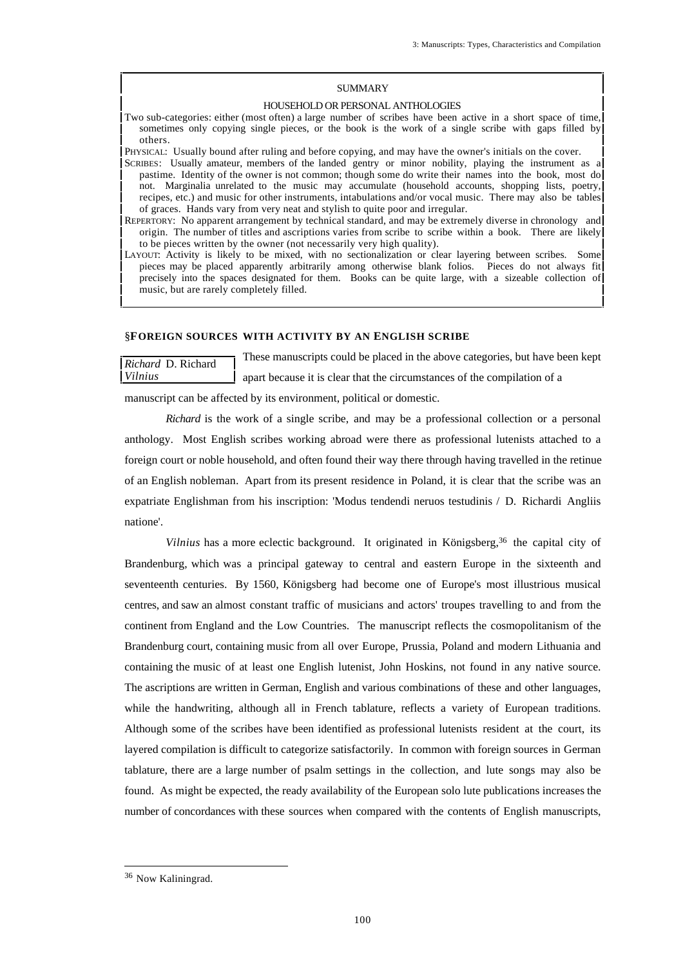# SUMMARY

### HOUSEHOLD OR PERSONAL ANTHOLOGIES

Two sub-categories: either (most often) a large number of scribes have been active in a short space of time, sometimes only copying single pieces, or the book is the work of a single scribe with gaps filled by others.

PHYSICAL: Usually bound after ruling and before copying, and may have the owner's initials on the cover.

- SCRIBES: Usually amateur, members of the landed gentry or minor nobility, playing the instrument as a pastime. Identity of the owner is not common; though some do write their names into the book, most do not. Marginalia unrelated to the music may accumulate (household accounts, shopping lists, poetry, recipes, etc.) and music for other instruments, intabulations and/or vocal music. There may also be tables of graces. Hands vary from very neat and stylish to quite poor and irregular.
- REPERTORY: No apparent arrangement by technical standard, and may be extremely diverse in chronology and origin. The number of titles and ascriptions varies from scribe to scribe within a book. There are likely to be pieces written by the owner (not necessarily very high quality).
- LAYOUT: Activity is likely to be mixed, with no sectionalization or clear layering between scribes. Some pieces may be placed apparently arbitrarily among otherwise blank folios. Pieces do not always fit precisely into the spaces designated for them. Books can be quite large, with a sizeable collection of music, but are rarely completely filled.

### §**FOREIGN SOURCES WITH ACTIVITY BY AN ENGLISH SCRIBE**

*Richard* D. Richard *Vilnius* These manuscripts could be placed in the above categories, but have been kept apart because it is clear that the circumstances of the compilation of a

manuscript can be affected by its environment, political or domestic.

*Richard* is the work of a single scribe, and may be a professional collection or a personal anthology. Most English scribes working abroad were there as professional lutenists attached to a foreign court or noble household, and often found their way there through having travelled in the retinue of an English nobleman. Apart from its present residence in Poland, it is clear that the scribe was an expatriate Englishman from his inscription: 'Modus tendendi neruos testudinis / D. Richardi Angliis natione'.

*Vilnius* has a more eclectic background. It originated in Königsberg,<sup>36</sup> the capital city of Brandenburg, which was a principal gateway to central and eastern Europe in the sixteenth and seventeenth centuries. By 1560, Königsberg had become one of Europe's most illustrious musical centres, and saw an almost constant traffic of musicians and actors' troupes travelling to and from the continent from England and the Low Countries. The manuscript reflects the cosmopolitanism of the Brandenburg court, containing music from all over Europe, Prussia, Poland and modern Lithuania and containing the music of at least one English lutenist, John Hoskins, not found in any native source. The ascriptions are written in German, English and various combinations of these and other languages, while the handwriting, although all in French tablature, reflects a variety of European traditions. Although some of the scribes have been identified as professional lutenists resident at the court, its layered compilation is difficult to categorize satisfactorily. In common with foreign sources in German tablature, there are a large number of psalm settings in the collection, and lute songs may also be found. As might be expected, the ready availability of the European solo lute publications increases the number of concordances with these sources when compared with the contents of English manuscripts,

<sup>36</sup> Now Kaliningrad.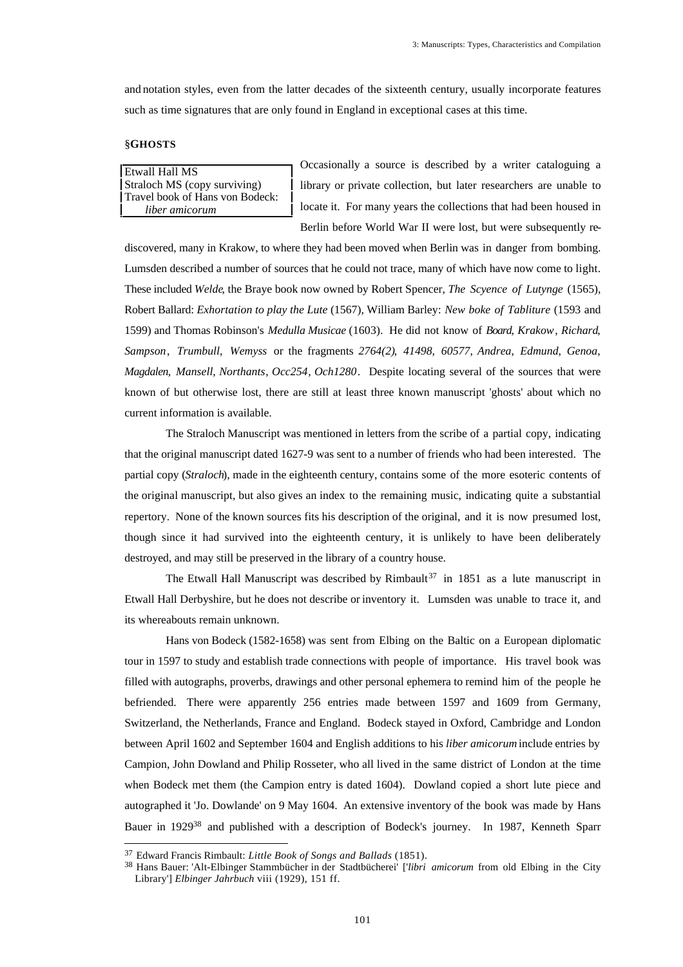and notation styles, even from the latter decades of the sixteenth century, usually incorporate features such as time signatures that are only found in England in exceptional cases at this time.

## §**GHOSTS**

Etwall Hall MS Straloch MS (copy surviving) Travel book of Hans von Bodeck: *liber amicorum*

Occasionally a source is described by a writer cataloguing a library or private collection, but later researchers are unable to locate it. For many years the collections that had been housed in Berlin before World War II were lost, but were subsequently re-

discovered, many in Krakow, to where they had been moved when Berlin was in danger from bombing. Lumsden described a number of sources that he could not trace, many of which have now come to light. These included *Welde*, the Braye book now owned by Robert Spencer, *The Scyence of Lutynge* (1565), Robert Ballard: *Exhortation to play the Lute* (1567), William Barley: *New boke of Tabliture* (1593 and 1599) and Thomas Robinson's *Medulla Musicae* (1603). He did not know of *Board*, *Krakow*, *Richard*, *Sampson*, *Trumbull*, *Wemyss* or the fragments *2764(2)*, *41498*, *60577*, *Andrea*, *Edmund*, *Genoa*, *Magdalen*, *Mansell*, *Northants*, *Occ254*, *Och1280*. Despite locating several of the sources that were known of but otherwise lost, there are still at least three known manuscript 'ghosts' about which no current information is available.

The Straloch Manuscript was mentioned in letters from the scribe of a partial copy, indicating that the original manuscript dated 1627-9 was sent to a number of friends who had been interested. The partial copy (*Straloch*), made in the eighteenth century, contains some of the more esoteric contents of the original manuscript, but also gives an index to the remaining music, indicating quite a substantial repertory. None of the known sources fits his description of the original, and it is now presumed lost, though since it had survived into the eighteenth century, it is unlikely to have been deliberately destroyed, and may still be preserved in the library of a country house.

The Etwall Hall Manuscript was described by Rimbault<sup>37</sup> in 1851 as a lute manuscript in Etwall Hall Derbyshire, but he does not describe or inventory it. Lumsden was unable to trace it, and its whereabouts remain unknown.

Hans von Bodeck (1582-1658) was sent from Elbing on the Baltic on a European diplomatic tour in 1597 to study and establish trade connections with people of importance. His travel book was filled with autographs, proverbs, drawings and other personal ephemera to remind him of the people he befriended. There were apparently 256 entries made between 1597 and 1609 from Germany, Switzerland, the Netherlands, France and England. Bodeck stayed in Oxford, Cambridge and London between April 1602 and September 1604 and English additions to his *liber amicorum* include entries by Campion, John Dowland and Philip Rosseter, who all lived in the same district of London at the time when Bodeck met them (the Campion entry is dated 1604). Dowland copied a short lute piece and autographed it 'Jo. Dowlande' on 9 May 1604. An extensive inventory of the book was made by Hans Bauer in 1929<sup>38</sup> and published with a description of Bodeck's journey. In 1987, Kenneth Sparr

<sup>37</sup> Edward Francis Rimbault: *Little Book of Songs and Ballads* (1851).

<sup>38</sup> Hans Bauer: 'Alt-Elbinger Stammbücher in der Stadtbücherei' ['*libri amicorum* from old Elbing in the City Library'] *Elbinger Jahrbuch* viii (1929), 151 ff.